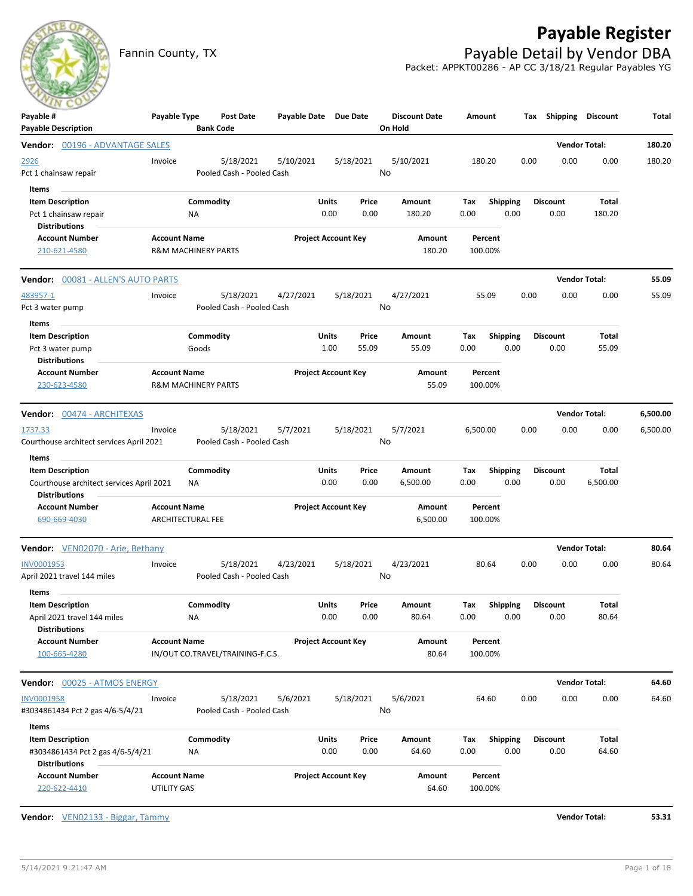# **Payable Register**



Fannin County, TX **Payable Detail by Vendor DBA** Packet: APPKT00286 - AP CC 3/18/21 Regular Payables YG

| $\sim$ $\sim$ $\sim$<br>Payable #<br><b>Payable Description</b>                                      | Payable Type                                    | <b>Bank Code</b>               | Post Date                              | Payable Date Due Date |               |                            | <b>Discount Date</b><br>On Hold | Amount      |                         | Тах  | <b>Shipping Discount</b> |                      | Total    |
|------------------------------------------------------------------------------------------------------|-------------------------------------------------|--------------------------------|----------------------------------------|-----------------------|---------------|----------------------------|---------------------------------|-------------|-------------------------|------|--------------------------|----------------------|----------|
| Vendor: 00196 - ADVANTAGE SALES                                                                      |                                                 |                                |                                        |                       |               |                            |                                 |             |                         |      |                          | <b>Vendor Total:</b> | 180.20   |
| 2926<br>Pct 1 chainsaw repair                                                                        | Invoice                                         |                                | 5/18/2021<br>Pooled Cash - Pooled Cash | 5/10/2021             |               | 5/18/2021                  | 5/10/2021<br>No                 | 180.20      |                         | 0.00 | 0.00                     | 0.00                 | 180.20   |
| Items<br><b>Item Description</b><br>Pct 1 chainsaw repair<br><b>Distributions</b>                    |                                                 | Commodity<br>ΝA                |                                        |                       | Units<br>0.00 | Price<br>0.00              | Amount<br>180.20                | Тах<br>0.00 | <b>Shipping</b><br>0.00 |      | <b>Discount</b><br>0.00  | Total<br>180.20      |          |
| <b>Account Number</b><br>210-621-4580                                                                | <b>Account Name</b>                             | <b>R&amp;M MACHINERY PARTS</b> |                                        |                       |               | <b>Project Account Key</b> | Amount<br>180.20                |             | Percent<br>100.00%      |      |                          |                      |          |
| <b>Vendor: 00081 - ALLEN'S AUTO PARTS</b>                                                            |                                                 |                                |                                        |                       |               |                            |                                 |             |                         |      |                          | <b>Vendor Total:</b> | 55.09    |
| 483957-1<br>Pct 3 water pump                                                                         | Invoice                                         |                                | 5/18/2021<br>Pooled Cash - Pooled Cash | 4/27/2021             |               | 5/18/2021                  | 4/27/2021<br>No                 |             | 55.09                   | 0.00 | 0.00                     | 0.00                 | 55.09    |
| Items<br><b>Item Description</b><br>Pct 3 water pump                                                 |                                                 | Commodity<br>Goods             |                                        |                       | Units<br>1.00 | Price<br>55.09             | Amount<br>55.09                 | Тах<br>0.00 | Shipping<br>0.00        |      | Discount<br>0.00         | Total<br>55.09       |          |
| <b>Distributions</b><br><b>Account Number</b><br>230-623-4580                                        | <b>Account Name</b>                             | <b>R&amp;M MACHINERY PARTS</b> |                                        |                       |               | <b>Project Account Key</b> | Amount<br>55.09                 |             | Percent<br>100.00%      |      |                          |                      |          |
| Vendor: 00474 - ARCHITEXAS                                                                           |                                                 |                                |                                        |                       |               |                            |                                 |             |                         |      |                          | <b>Vendor Total:</b> | 6,500.00 |
| 1737.33<br>Courthouse architect services April 2021                                                  | Invoice                                         |                                | 5/18/2021<br>Pooled Cash - Pooled Cash | 5/7/2021              |               | 5/18/2021                  | 5/7/2021<br>No                  | 6,500.00    |                         | 0.00 | 0.00                     | 0.00                 | 6,500.00 |
| Items<br><b>Item Description</b><br>Courthouse architect services April 2021<br><b>Distributions</b> |                                                 | Commodity<br>ΝA                |                                        |                       | Units<br>0.00 | Price<br>0.00              | Amount<br>6,500.00              | Тах<br>0.00 | <b>Shipping</b><br>0.00 |      | <b>Discount</b><br>0.00  | Total<br>6,500.00    |          |
| <b>Account Number</b><br>690-669-4030                                                                | <b>Account Name</b><br><b>ARCHITECTURAL FEE</b> |                                |                                        |                       |               | <b>Project Account Key</b> | Amount<br>6,500.00              |             | Percent<br>100.00%      |      |                          |                      |          |
| Vendor: VEN02070 - Arie, Bethany                                                                     |                                                 |                                |                                        |                       |               |                            |                                 |             |                         |      |                          | <b>Vendor Total:</b> | 80.64    |
| INV0001953<br>April 2021 travel 144 miles                                                            | Invoice                                         |                                | 5/18/2021<br>Pooled Cash - Pooled Cash | 4/23/2021             |               | 5/18/2021                  | 4/23/2021<br>No                 |             | 80.64                   | 0.00 | 0.00                     | 0.00                 | 80.64    |
| <b>Items</b><br><b>Item Description</b><br>April 2021 travel 144 miles<br><b>Distributions</b>       |                                                 | Commodity<br>NA                |                                        |                       | Units<br>0.00 | Price<br>0.00              | Amount<br>80.64                 | Тах<br>0.00 | <b>Shipping</b><br>0.00 |      | <b>Discount</b><br>0.00  | Total<br>80.64       |          |
| <b>Account Number</b><br>100-665-4280                                                                | <b>Account Name</b>                             |                                | IN/OUT CO.TRAVEL/TRAINING-F.C.S.       |                       |               | <b>Project Account Key</b> | Amount<br>80.64                 |             | Percent<br>100.00%      |      |                          |                      |          |
| Vendor: 00025 - ATMOS ENERGY                                                                         |                                                 |                                |                                        |                       |               |                            |                                 |             |                         |      |                          | <b>Vendor Total:</b> | 64.60    |
| INV0001958<br>#3034861434 Pct 2 gas 4/6-5/4/21                                                       | Invoice                                         |                                | 5/18/2021<br>Pooled Cash - Pooled Cash | 5/6/2021              |               | 5/18/2021                  | 5/6/2021<br>No                  |             | 64.60                   | 0.00 | 0.00                     | 0.00                 | 64.60    |
| Items<br><b>Item Description</b><br>#3034861434 Pct 2 gas 4/6-5/4/21<br><b>Distributions</b>         |                                                 | Commodity<br>NA                |                                        |                       | Units<br>0.00 | Price<br>0.00              | Amount<br>64.60                 | Tax<br>0.00 | <b>Shipping</b><br>0.00 |      | <b>Discount</b><br>0.00  | Total<br>64.60       |          |
| <b>Account Number</b><br>220-622-4410                                                                | <b>Account Name</b><br>UTILITY GAS              |                                |                                        |                       |               | <b>Project Account Key</b> | Amount<br>64.60                 |             | Percent<br>100.00%      |      |                          |                      |          |

**Vendor:** VEN02133 - Biggar, Tammy **Vendor Total: 53.31**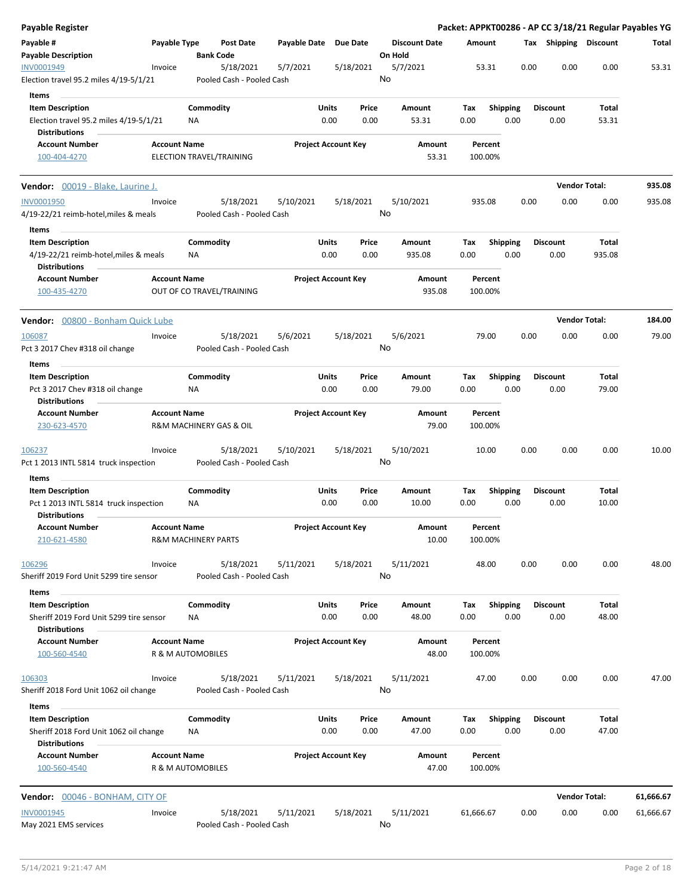| Payable Register                                                                          |                     |                                        |                       |                            |                                 | Packet: APPKT00286 - AP CC 3/18/21 Regular Payables YG |      |                         |                      |           |
|-------------------------------------------------------------------------------------------|---------------------|----------------------------------------|-----------------------|----------------------------|---------------------------------|--------------------------------------------------------|------|-------------------------|----------------------|-----------|
| Payable #<br><b>Payable Description</b>                                                   | Payable Type        | Post Date<br><b>Bank Code</b>          | Payable Date Due Date |                            | <b>Discount Date</b><br>On Hold | Amount                                                 |      | Tax Shipping Discount   |                      | Total     |
| INV0001949<br>Election travel 95.2 miles 4/19-5/1/21                                      | Invoice             | 5/18/2021<br>Pooled Cash - Pooled Cash | 5/7/2021              | 5/18/2021                  | 5/7/2021<br>No                  | 53.31                                                  | 0.00 | 0.00                    | 0.00                 | 53.31     |
| Items                                                                                     |                     |                                        |                       |                            |                                 |                                                        |      |                         |                      |           |
| <b>Item Description</b><br>Election travel 95.2 miles 4/19-5/1/21<br><b>Distributions</b> |                     | Commodity<br>ΝA                        | Units<br>0.00         | Price<br>0.00              | Amount<br>53.31                 | Tax<br><b>Shipping</b><br>0.00<br>0.00                 |      | <b>Discount</b><br>0.00 | Total<br>53.31       |           |
| <b>Account Number</b><br>100-404-4270                                                     | <b>Account Name</b> | ELECTION TRAVEL/TRAINING               |                       | <b>Project Account Key</b> | Amount<br>53.31                 | Percent<br>100.00%                                     |      |                         |                      |           |
|                                                                                           |                     |                                        |                       |                            |                                 |                                                        |      |                         |                      |           |
| Vendor: 00019 - Blake, Laurine J.                                                         |                     |                                        |                       |                            |                                 |                                                        |      |                         | <b>Vendor Total:</b> | 935.08    |
| <b>INV0001950</b><br>4/19-22/21 reimb-hotel, miles & meals                                | Invoice             | 5/18/2021<br>Pooled Cash - Pooled Cash | 5/10/2021             | 5/18/2021                  | 5/10/2021<br>No                 | 935.08                                                 | 0.00 | 0.00                    | 0.00                 | 935.08    |
| Items<br><b>Item Description</b>                                                          |                     | Commodity                              | Units                 | Price                      | Amount                          | Tax<br><b>Shipping</b>                                 |      | <b>Discount</b>         | Total                |           |
| 4/19-22/21 reimb-hotel, miles & meals<br><b>Distributions</b>                             |                     | ΝA                                     | 0.00                  | 0.00                       | 935.08                          | 0.00<br>0.00                                           |      | 0.00                    | 935.08               |           |
| <b>Account Number</b><br>100-435-4270                                                     | <b>Account Name</b> | OUT OF CO TRAVEL/TRAINING              |                       | <b>Project Account Key</b> | Amount<br>935.08                | Percent<br>100.00%                                     |      |                         |                      |           |
| Vendor: 00800 - Bonham Quick Lube                                                         |                     |                                        |                       |                            |                                 |                                                        |      |                         | <b>Vendor Total:</b> | 184.00    |
| 106087                                                                                    | Invoice             | 5/18/2021                              | 5/6/2021              | 5/18/2021                  | 5/6/2021                        | 79.00                                                  | 0.00 | 0.00                    | 0.00                 | 79.00     |
| Pct 3 2017 Chev #318 oil change                                                           |                     | Pooled Cash - Pooled Cash              |                       |                            | No                              |                                                        |      |                         |                      |           |
| Items                                                                                     |                     |                                        |                       |                            |                                 |                                                        |      |                         |                      |           |
| <b>Item Description</b><br>Pct 3 2017 Chev #318 oil change<br><b>Distributions</b>        |                     | Commodity<br>ΝA                        | Units<br>0.00         | Price<br>0.00              | Amount<br>79.00                 | Tax<br><b>Shipping</b><br>0.00<br>0.00                 |      | <b>Discount</b><br>0.00 | Total<br>79.00       |           |
| <b>Account Number</b><br>230-623-4570                                                     | <b>Account Name</b> | R&M MACHINERY GAS & OIL                |                       | <b>Project Account Key</b> | Amount<br>79.00                 | Percent<br>100.00%                                     |      |                         |                      |           |
| <u> 106237</u>                                                                            | Invoice             | 5/18/2021<br>Pooled Cash - Pooled Cash | 5/10/2021             | 5/18/2021                  | 5/10/2021<br>No                 | 10.00                                                  | 0.00 | 0.00                    | 0.00                 | 10.00     |
| Pct 1 2013 INTL 5814 truck inspection                                                     |                     |                                        |                       |                            |                                 |                                                        |      |                         |                      |           |
| Items<br><b>Item Description</b>                                                          |                     | Commodity                              | Units                 | Price                      | Amount                          | <b>Shipping</b><br>Tax                                 |      | <b>Discount</b>         | Total                |           |
| Pct 1 2013 INTL 5814 truck inspection<br><b>Distributions</b>                             |                     | ΝA                                     | 0.00                  | 0.00                       | 10.00                           | 0.00<br>0.00                                           |      | 0.00                    | 10.00                |           |
| <b>Account Number</b><br>210-621-4580                                                     | <b>Account Name</b> | <b>R&amp;M MACHINERY PARTS</b>         |                       | <b>Project Account Key</b> | Amount<br>10.00                 | Percent<br>100.00%                                     |      |                         |                      |           |
| <u>106296</u><br>Sheriff 2019 Ford Unit 5299 tire sensor                                  | Invoice             | 5/18/2021<br>Pooled Cash - Pooled Cash | 5/11/2021             | 5/18/2021                  | 5/11/2021<br>No                 | 48.00                                                  | 0.00 | 0.00                    | 0.00                 | 48.00     |
| Items                                                                                     |                     |                                        |                       |                            |                                 |                                                        |      |                         |                      |           |
| <b>Item Description</b><br>Sheriff 2019 Ford Unit 5299 tire sensor                        |                     | Commodity<br>NA                        | <b>Units</b><br>0.00  | Price<br>0.00              | Amount<br>48.00                 | Tax<br><b>Shipping</b><br>0.00<br>0.00                 |      | <b>Discount</b><br>0.00 | Total<br>48.00       |           |
| <b>Distributions</b><br><b>Account Number</b><br>100-560-4540                             | <b>Account Name</b> | R & M AUTOMOBILES                      |                       | <b>Project Account Key</b> | Amount<br>48.00                 | Percent<br>100.00%                                     |      |                         |                      |           |
| 106303<br>Sheriff 2018 Ford Unit 1062 oil change                                          | Invoice             | 5/18/2021<br>Pooled Cash - Pooled Cash | 5/11/2021             | 5/18/2021                  | 5/11/2021<br>No                 | 47.00                                                  | 0.00 | 0.00                    | 0.00                 | 47.00     |
| Items                                                                                     |                     |                                        |                       |                            |                                 |                                                        |      |                         |                      |           |
| <b>Item Description</b><br>Sheriff 2018 Ford Unit 1062 oil change                         |                     | Commodity<br>ΝA                        | Units<br>0.00         | Price<br>0.00              | Amount<br>47.00                 | <b>Shipping</b><br>Tax<br>0.00<br>0.00                 |      | <b>Discount</b><br>0.00 | Total<br>47.00       |           |
| <b>Distributions</b><br><b>Account Number</b><br>100-560-4540                             | <b>Account Name</b> | R & M AUTOMOBILES                      |                       | <b>Project Account Key</b> | Amount<br>47.00                 | Percent<br>100.00%                                     |      |                         |                      |           |
| <b>Vendor:</b> 00046 - BONHAM, CITY OF                                                    |                     |                                        |                       |                            |                                 |                                                        |      |                         | <b>Vendor Total:</b> | 61,666.67 |
| INV0001945                                                                                | Invoice             | 5/18/2021                              | 5/11/2021             | 5/18/2021                  | 5/11/2021                       | 61,666.67                                              | 0.00 | 0.00                    | 0.00                 | 61,666.67 |
| May 2021 EMS services                                                                     |                     | Pooled Cash - Pooled Cash              |                       |                            | No                              |                                                        |      |                         |                      |           |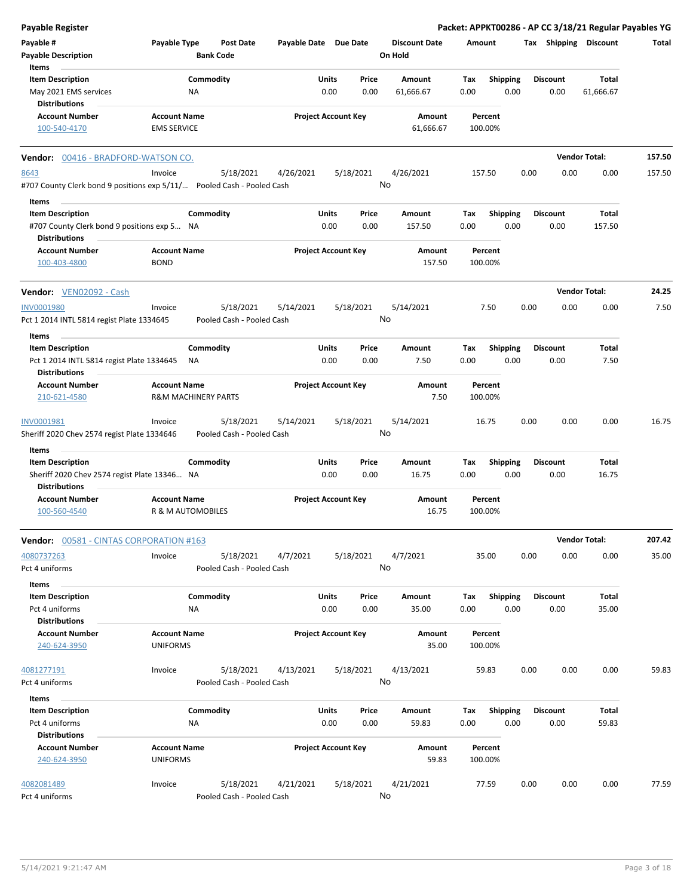| <b>Payable Register</b>                                                        |                                        |                                        |                       |                                |                                 |             |                         |                         | Packet: APPKT00286 - AP CC 3/18/21 Regular Payables YG |        |
|--------------------------------------------------------------------------------|----------------------------------------|----------------------------------------|-----------------------|--------------------------------|---------------------------------|-------------|-------------------------|-------------------------|--------------------------------------------------------|--------|
| Payable #<br><b>Payable Description</b>                                        | Payable Type                           | <b>Post Date</b><br><b>Bank Code</b>   | Payable Date Due Date |                                | <b>Discount Date</b><br>On Hold | Amount      |                         |                         | Tax Shipping Discount                                  | Total  |
| Items                                                                          |                                        |                                        |                       |                                |                                 |             |                         |                         |                                                        |        |
| <b>Item Description</b>                                                        |                                        | Commodity                              |                       | Units<br>Price                 | Amount                          | Tax         | <b>Shipping</b>         | <b>Discount</b>         | Total                                                  |        |
| May 2021 EMS services<br><b>Distributions</b>                                  |                                        | NA                                     |                       | 0.00<br>0.00                   | 61,666.67                       | 0.00        | 0.00                    | 0.00                    | 61,666.67                                              |        |
| <b>Account Number</b>                                                          | <b>Account Name</b>                    |                                        |                       | <b>Project Account Key</b>     | Amount                          |             | Percent                 |                         |                                                        |        |
| 100-540-4170                                                                   | <b>EMS SERVICE</b>                     |                                        |                       |                                | 61,666.67                       | 100.00%     |                         |                         |                                                        |        |
|                                                                                |                                        |                                        |                       |                                |                                 |             |                         |                         |                                                        |        |
| Vendor: 00416 - BRADFORD-WATSON CO.                                            |                                        |                                        |                       |                                |                                 |             |                         |                         | <b>Vendor Total:</b>                                   | 157.50 |
| 8643<br>#707 County Clerk bond 9 positions exp 5/11/ Pooled Cash - Pooled Cash | Invoice                                | 5/18/2021                              | 4/26/2021             | 5/18/2021                      | 4/26/2021<br>No                 | 157.50      |                         | 0.00<br>0.00            | 0.00                                                   | 157.50 |
| Items                                                                          |                                        |                                        |                       |                                |                                 |             |                         |                         |                                                        |        |
| <b>Item Description</b>                                                        |                                        | Commodity                              |                       | Units<br>Price                 | Amount                          | Tax         | <b>Shipping</b>         | <b>Discount</b>         | Total                                                  |        |
| #707 County Clerk bond 9 positions exp 5 NA<br><b>Distributions</b>            |                                        |                                        |                       | 0.00<br>0.00                   | 157.50                          | 0.00        | 0.00                    | 0.00                    | 157.50                                                 |        |
| <b>Account Number</b>                                                          | <b>Account Name</b>                    |                                        |                       | <b>Project Account Key</b>     | <b>Amount</b>                   |             | Percent                 |                         |                                                        |        |
| 100-403-4800                                                                   | <b>BOND</b>                            |                                        |                       |                                | 157.50                          | 100.00%     |                         |                         |                                                        |        |
| Vendor: VEN02092 - Cash                                                        |                                        |                                        |                       |                                |                                 |             |                         |                         | <b>Vendor Total:</b>                                   | 24.25  |
| INV0001980                                                                     | Invoice                                | 5/18/2021                              | 5/14/2021             | 5/18/2021                      | 5/14/2021                       |             | 7.50                    | 0.00<br>0.00            | 0.00                                                   | 7.50   |
| Pct 1 2014 INTL 5814 regist Plate 1334645                                      |                                        | Pooled Cash - Pooled Cash              |                       |                                | No                              |             |                         |                         |                                                        |        |
| Items                                                                          |                                        |                                        |                       |                                |                                 |             |                         |                         |                                                        |        |
| <b>Item Description</b>                                                        |                                        | Commodity                              |                       | Units<br>Price                 | <b>Amount</b>                   | Tax         | <b>Shipping</b>         | <b>Discount</b>         | Total                                                  |        |
| Pct 1 2014 INTL 5814 regist Plate 1334645<br><b>Distributions</b>              |                                        | ΝA                                     |                       | 0.00<br>0.00                   | 7.50                            | 0.00        | 0.00                    | 0.00                    | 7.50                                                   |        |
| <b>Account Number</b>                                                          | <b>Account Name</b>                    |                                        |                       | <b>Project Account Key</b>     | Amount                          |             | Percent                 |                         |                                                        |        |
| 210-621-4580                                                                   |                                        | <b>R&amp;M MACHINERY PARTS</b>         |                       |                                | 7.50                            | 100.00%     |                         |                         |                                                        |        |
| INV0001981                                                                     | Invoice                                | 5/18/2021                              | 5/14/2021             | 5/18/2021                      | 5/14/2021                       |             | 16.75                   | 0.00<br>0.00            | 0.00                                                   | 16.75  |
| Sheriff 2020 Chev 2574 regist Plate 1334646                                    |                                        | Pooled Cash - Pooled Cash              |                       |                                | No                              |             |                         |                         |                                                        |        |
| Items                                                                          |                                        |                                        |                       |                                |                                 |             |                         |                         |                                                        |        |
| <b>Item Description</b>                                                        |                                        | Commodity                              |                       | Units<br>Price                 | Amount                          | Tax         | <b>Shipping</b>         | <b>Discount</b>         | Total                                                  |        |
| Sheriff 2020 Chev 2574 regist Plate 13346 NA<br><b>Distributions</b>           |                                        |                                        |                       | 0.00<br>0.00                   | 16.75                           | 0.00        | 0.00                    | 0.00                    | 16.75                                                  |        |
| <b>Account Number</b><br>100-560-4540                                          | <b>Account Name</b>                    | R & M AUTOMOBILES                      |                       | <b>Project Account Key</b>     | <b>Amount</b><br>16.75          | 100.00%     | Percent                 |                         |                                                        |        |
| <b>Vendor: 00581 - CINTAS CORPORATION #163</b>                                 |                                        |                                        |                       |                                |                                 |             |                         |                         | <b>Vendor Total:</b>                                   | 207.42 |
| 4080737263<br>Pct 4 uniforms                                                   | Invoice                                | 5/18/2021<br>Pooled Cash - Pooled Cash | 4/7/2021              | 5/18/2021                      | 4/7/2021<br>No                  |             | 35.00                   | 0.00<br>0.00            | 0.00                                                   | 35.00  |
| Items                                                                          |                                        |                                        |                       |                                |                                 |             |                         |                         |                                                        |        |
| <b>Item Description</b><br>Pct 4 uniforms                                      |                                        | Commodity<br>ΝA                        |                       | Units<br>Price<br>0.00<br>0.00 | Amount<br>35.00                 | Tax<br>0.00 | <b>Shipping</b><br>0.00 | <b>Discount</b><br>0.00 | Total<br>35.00                                         |        |
| <b>Distributions</b>                                                           |                                        |                                        |                       |                                |                                 |             |                         |                         |                                                        |        |
| <b>Account Number</b><br>240-624-3950                                          | <b>Account Name</b><br><b>UNIFORMS</b> |                                        |                       | <b>Project Account Key</b>     | <b>Amount</b><br>35.00          | 100.00%     | Percent                 |                         |                                                        |        |
| 4081277191                                                                     | Invoice                                | 5/18/2021                              | 4/13/2021             | 5/18/2021                      | 4/13/2021                       |             | 59.83                   | 0.00<br>0.00            | 0.00                                                   | 59.83  |
| Pct 4 uniforms                                                                 |                                        | Pooled Cash - Pooled Cash              |                       |                                | No                              |             |                         |                         |                                                        |        |
| Items                                                                          |                                        |                                        |                       |                                |                                 |             |                         |                         |                                                        |        |
| <b>Item Description</b>                                                        |                                        | Commodity                              |                       | Units<br>Price                 | Amount                          | Tax         | <b>Shipping</b>         | <b>Discount</b>         | Total                                                  |        |
| Pct 4 uniforms                                                                 |                                        | NA                                     |                       | 0.00<br>0.00                   | 59.83                           | 0.00        | 0.00                    | 0.00                    | 59.83                                                  |        |
| <b>Distributions</b>                                                           |                                        |                                        |                       |                                |                                 |             |                         |                         |                                                        |        |
| <b>Account Number</b><br>240-624-3950                                          | <b>Account Name</b><br><b>UNIFORMS</b> |                                        |                       | <b>Project Account Key</b>     | Amount<br>59.83                 | 100.00%     | Percent                 |                         |                                                        |        |
| 4082081489<br>Pct 4 uniforms                                                   | Invoice                                | 5/18/2021<br>Pooled Cash - Pooled Cash | 4/21/2021             | 5/18/2021                      | 4/21/2021<br>No                 |             | 77.59                   | 0.00<br>0.00            | 0.00                                                   | 77.59  |
|                                                                                |                                        |                                        |                       |                                |                                 |             |                         |                         |                                                        |        |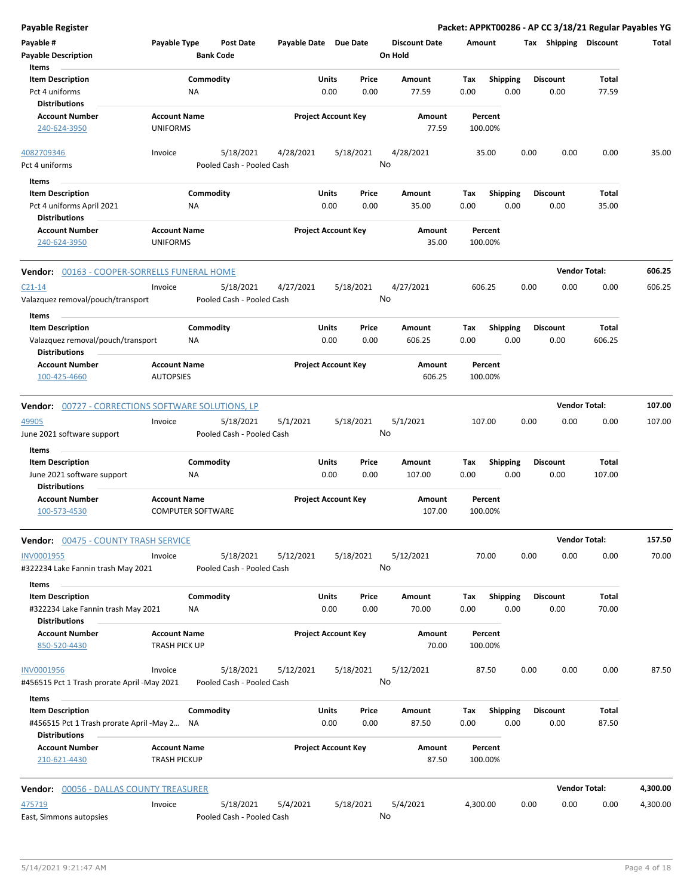| <b>Payable Register</b>                                                                                 |                                                 |                                        |                       |                            |                 |                                 |             |                         |      |                         | Packet: APPKT00286 - AP CC 3/18/21 Regular Payables YG |          |
|---------------------------------------------------------------------------------------------------------|-------------------------------------------------|----------------------------------------|-----------------------|----------------------------|-----------------|---------------------------------|-------------|-------------------------|------|-------------------------|--------------------------------------------------------|----------|
| Payable #<br><b>Payable Description</b>                                                                 | Payable Type                                    | <b>Post Date</b><br><b>Bank Code</b>   | Payable Date Due Date |                            |                 | <b>Discount Date</b><br>On Hold | Amount      |                         |      | Tax Shipping Discount   |                                                        | Total    |
| Items<br><b>Item Description</b><br>Pct 4 uniforms                                                      | NA                                              | Commodity                              |                       | Units<br>0.00              | Price<br>0.00   | Amount<br>77.59                 | Tax<br>0.00 | <b>Shipping</b><br>0.00 |      | <b>Discount</b><br>0.00 | Total<br>77.59                                         |          |
| <b>Distributions</b><br><b>Account Number</b><br>240-624-3950                                           | <b>Account Name</b><br><b>UNIFORMS</b>          |                                        |                       | <b>Project Account Key</b> |                 | Amount<br>77.59                 |             | Percent<br>100.00%      |      |                         |                                                        |          |
| 4082709346<br>Pct 4 uniforms                                                                            | Invoice                                         | 5/18/2021<br>Pooled Cash - Pooled Cash | 4/28/2021             |                            | 5/18/2021<br>No | 4/28/2021                       |             | 35.00                   | 0.00 | 0.00                    | 0.00                                                   | 35.00    |
| <b>Items</b><br><b>Item Description</b><br>Pct 4 uniforms April 2021<br><b>Distributions</b>            | ΝA                                              | Commodity                              |                       | Units<br>0.00              | Price<br>0.00   | Amount<br>35.00                 | Tax<br>0.00 | <b>Shipping</b><br>0.00 |      | Discount<br>0.00        | Total<br>35.00                                         |          |
| <b>Account Number</b><br>240-624-3950                                                                   | <b>Account Name</b><br><b>UNIFORMS</b>          |                                        |                       | <b>Project Account Key</b> |                 | Amount<br>35.00                 |             | Percent<br>100.00%      |      |                         |                                                        |          |
| Vendor: 00163 - COOPER-SORRELLS FUNERAL HOME                                                            |                                                 |                                        |                       |                            |                 |                                 |             |                         |      |                         | <b>Vendor Total:</b>                                   | 606.25   |
| $C21 - 14$<br>Valazquez removal/pouch/transport                                                         | Invoice                                         | 5/18/2021<br>Pooled Cash - Pooled Cash | 4/27/2021             |                            | 5/18/2021<br>No | 4/27/2021                       |             | 606.25                  | 0.00 | 0.00                    | 0.00                                                   | 606.25   |
| <b>Items</b><br><b>Item Description</b><br>Valazquez removal/pouch/transport<br><b>Distributions</b>    | NA                                              | Commodity                              |                       | Units<br>0.00              | Price<br>0.00   | Amount<br>606.25                | Tax<br>0.00 | <b>Shipping</b><br>0.00 |      | <b>Discount</b><br>0.00 | Total<br>606.25                                        |          |
| <b>Account Number</b><br>100-425-4660                                                                   | <b>Account Name</b><br><b>AUTOPSIES</b>         |                                        |                       | <b>Project Account Key</b> |                 | Amount<br>606.25                |             | Percent<br>100.00%      |      |                         |                                                        |          |
| <b>Vendor:</b> 00727 - CORRECTIONS SOFTWARE SOLUTIONS, LP                                               |                                                 |                                        |                       |                            |                 |                                 |             |                         |      |                         | <b>Vendor Total:</b>                                   | 107.00   |
| 49905<br>June 2021 software support                                                                     | Invoice                                         | 5/18/2021<br>Pooled Cash - Pooled Cash | 5/1/2021              |                            | 5/18/2021<br>No | 5/1/2021                        | 107.00      |                         | 0.00 | 0.00                    | 0.00                                                   | 107.00   |
| Items<br><b>Item Description</b><br>June 2021 software support<br><b>Distributions</b>                  | ΝA                                              | Commodity                              |                       | Units<br>0.00              | Price<br>0.00   | Amount<br>107.00                | Tax<br>0.00 | <b>Shipping</b><br>0.00 |      | <b>Discount</b><br>0.00 | Total<br>107.00                                        |          |
| <b>Account Number</b><br>100-573-4530                                                                   | <b>Account Name</b><br><b>COMPUTER SOFTWARE</b> |                                        |                       | <b>Project Account Key</b> |                 | Amount<br>107.00                |             | Percent<br>100.00%      |      |                         |                                                        |          |
| Vendor: 00475 - COUNTY TRASH SERVICE                                                                    |                                                 |                                        |                       |                            |                 |                                 |             |                         |      |                         | <b>Vendor Total:</b>                                   | 157.50   |
| INV0001955<br>#322234 Lake Fannin trash May 2021                                                        | Invoice                                         | 5/18/2021<br>Pooled Cash - Pooled Cash | 5/12/2021             |                            | 5/18/2021<br>No | 5/12/2021                       |             | 70.00                   | 0.00 | 0.00                    | 0.00                                                   | 70.00    |
| Items<br><b>Item Description</b><br>#322234 Lake Fannin trash May 2021<br><b>Distributions</b>          | ΝA                                              | Commodity                              |                       | Units<br>0.00              | Price<br>0.00   | Amount<br>70.00                 | Tax<br>0.00 | <b>Shipping</b><br>0.00 |      | <b>Discount</b><br>0.00 | Total<br>70.00                                         |          |
| <b>Account Number</b><br>850-520-4430                                                                   | <b>Account Name</b><br><b>TRASH PICK UP</b>     |                                        |                       | <b>Project Account Key</b> |                 | Amount<br>70.00                 |             | Percent<br>100.00%      |      |                         |                                                        |          |
| INV0001956<br>#456515 Pct 1 Trash prorate April -May 2021                                               | Invoice                                         | 5/18/2021<br>Pooled Cash - Pooled Cash | 5/12/2021             |                            | 5/18/2021<br>No | 5/12/2021                       |             | 87.50                   | 0.00 | 0.00                    | 0.00                                                   | 87.50    |
| Items<br><b>Item Description</b><br>#456515 Pct 1 Trash prorate April -May 2 NA<br><b>Distributions</b> |                                                 | Commodity                              |                       | Units<br>0.00              | Price<br>0.00   | Amount<br>87.50                 | Tax<br>0.00 | Shipping<br>0.00        |      | <b>Discount</b><br>0.00 | Total<br>87.50                                         |          |
| <b>Account Number</b><br>210-621-4430                                                                   | <b>Account Name</b><br><b>TRASH PICKUP</b>      |                                        |                       | <b>Project Account Key</b> |                 | Amount<br>87.50                 |             | Percent<br>100.00%      |      |                         |                                                        |          |
| <b>Vendor: 00056 - DALLAS COUNTY TREASURER</b>                                                          |                                                 |                                        |                       |                            |                 |                                 |             |                         |      |                         | <b>Vendor Total:</b>                                   | 4,300.00 |
| 475719<br>East, Simmons autopsies                                                                       | Invoice                                         | 5/18/2021<br>Pooled Cash - Pooled Cash | 5/4/2021              |                            | 5/18/2021<br>No | 5/4/2021                        | 4,300.00    |                         | 0.00 | 0.00                    | 0.00                                                   | 4,300.00 |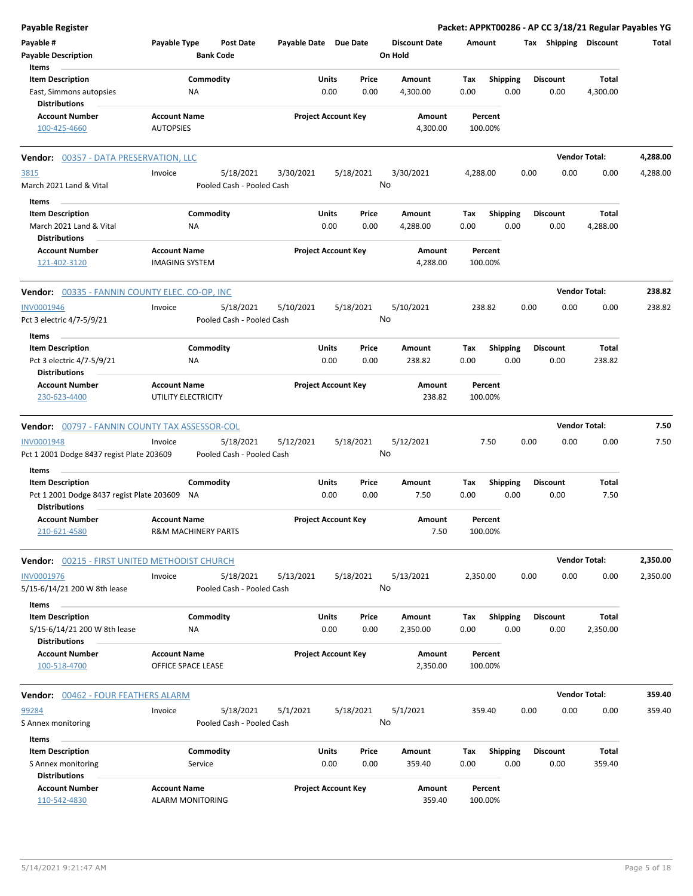| <b>Payable Register</b>                                           |                                              |                                |                           |                       |                            |               |                      |             |                         |      |                         | Packet: APPKT00286 - AP CC 3/18/21 Regular Payables YG |          |
|-------------------------------------------------------------------|----------------------------------------------|--------------------------------|---------------------------|-----------------------|----------------------------|---------------|----------------------|-------------|-------------------------|------|-------------------------|--------------------------------------------------------|----------|
| Payable #                                                         | Payable Type                                 |                                | <b>Post Date</b>          | Payable Date Due Date |                            |               | <b>Discount Date</b> | Amount      |                         |      | Tax Shipping Discount   |                                                        | Total    |
| <b>Payable Description</b>                                        |                                              | <b>Bank Code</b>               |                           |                       |                            |               | On Hold              |             |                         |      |                         |                                                        |          |
| Items                                                             |                                              |                                |                           |                       |                            |               |                      |             |                         |      |                         |                                                        |          |
| <b>Item Description</b>                                           |                                              | Commodity                      |                           |                       | Units                      | Price         | Amount               | Tax         | <b>Shipping</b>         |      | <b>Discount</b>         | Total                                                  |          |
| East, Simmons autopsies<br><b>Distributions</b>                   |                                              | ΝA                             |                           |                       | 0.00                       | 0.00          | 4,300.00             | 0.00        | 0.00                    |      | 0.00                    | 4,300.00                                               |          |
| <b>Account Number</b><br>100-425-4660                             | <b>Account Name</b><br><b>AUTOPSIES</b>      |                                |                           |                       | <b>Project Account Key</b> |               | Amount<br>4,300.00   |             | Percent<br>100.00%      |      |                         |                                                        |          |
| Vendor: 00357 - DATA PRESERVATION, LLC                            |                                              |                                |                           |                       |                            |               |                      |             |                         |      |                         | <b>Vendor Total:</b>                                   | 4,288.00 |
| 3815                                                              | Invoice                                      |                                | 5/18/2021                 | 3/30/2021             |                            | 5/18/2021     | 3/30/2021            | 4,288.00    |                         | 0.00 | 0.00                    | 0.00                                                   | 4,288.00 |
| March 2021 Land & Vital                                           |                                              |                                | Pooled Cash - Pooled Cash |                       |                            |               | No                   |             |                         |      |                         |                                                        |          |
|                                                                   |                                              |                                |                           |                       |                            |               |                      |             |                         |      |                         |                                                        |          |
| Items                                                             |                                              |                                |                           |                       |                            |               |                      |             |                         |      |                         |                                                        |          |
| <b>Item Description</b><br>March 2021 Land & Vital                |                                              | Commodity                      |                           |                       | Units<br>0.00              | Price<br>0.00 | Amount               | Tax<br>0.00 | <b>Shipping</b><br>0.00 |      | <b>Discount</b><br>0.00 | Total                                                  |          |
| <b>Distributions</b>                                              |                                              | ΝA                             |                           |                       |                            |               | 4,288.00             |             |                         |      |                         | 4,288.00                                               |          |
| <b>Account Number</b><br>121-402-3120                             | <b>Account Name</b><br><b>IMAGING SYSTEM</b> |                                |                           |                       | <b>Project Account Key</b> |               | Amount<br>4,288.00   |             | Percent<br>100.00%      |      |                         |                                                        |          |
| Vendor: 00335 - FANNIN COUNTY ELEC. CO-OP, INC                    |                                              |                                |                           |                       |                            |               |                      |             |                         |      |                         | <b>Vendor Total:</b>                                   | 238.82   |
| <b>INV0001946</b>                                                 | Invoice                                      |                                | 5/18/2021                 | 5/10/2021             |                            | 5/18/2021     | 5/10/2021            |             | 238.82                  | 0.00 | 0.00                    | 0.00                                                   | 238.82   |
| Pct 3 electric 4/7-5/9/21                                         |                                              |                                | Pooled Cash - Pooled Cash |                       |                            |               | No                   |             |                         |      |                         |                                                        |          |
| Items                                                             |                                              |                                |                           |                       |                            |               |                      |             |                         |      |                         |                                                        |          |
| <b>Item Description</b>                                           |                                              | Commodity                      |                           |                       | Units                      | Price         | Amount               | Tax         | <b>Shipping</b>         |      | <b>Discount</b>         | Total                                                  |          |
| Pct 3 electric 4/7-5/9/21<br><b>Distributions</b>                 |                                              | ΝA                             |                           |                       | 0.00                       | 0.00          | 238.82               | 0.00        | 0.00                    |      | 0.00                    | 238.82                                                 |          |
| <b>Account Number</b>                                             | <b>Account Name</b>                          |                                |                           |                       | <b>Project Account Key</b> |               | Amount               |             | Percent                 |      |                         |                                                        |          |
| 230-623-4400                                                      |                                              | UTILITY ELECTRICITY            |                           |                       |                            |               | 238.82               |             | 100.00%                 |      |                         |                                                        |          |
| <b>Vendor: 00797 - FANNIN COUNTY TAX ASSESSOR-COL</b>             |                                              |                                |                           |                       |                            |               |                      |             |                         |      |                         | <b>Vendor Total:</b>                                   | 7.50     |
| INV0001948                                                        | Invoice                                      |                                | 5/18/2021                 | 5/12/2021             |                            | 5/18/2021     | 5/12/2021            |             | 7.50                    | 0.00 | 0.00                    | 0.00                                                   | 7.50     |
| Pct 1 2001 Dodge 8437 regist Plate 203609                         |                                              |                                | Pooled Cash - Pooled Cash |                       |                            |               | No                   |             |                         |      |                         |                                                        |          |
| Items                                                             |                                              |                                |                           |                       |                            |               |                      |             |                         |      |                         |                                                        |          |
| <b>Item Description</b>                                           |                                              | Commodity                      |                           |                       | Units                      | Price         | Amount               | Tax         | <b>Shipping</b>         |      | <b>Discount</b>         | Total                                                  |          |
| Pct 1 2001 Dodge 8437 regist Plate 203609<br><b>Distributions</b> |                                              | NA                             |                           |                       | 0.00                       | 0.00          | 7.50                 | 0.00        | 0.00                    |      | 0.00                    | 7.50                                                   |          |
| <b>Account Number</b><br>210-621-4580                             | <b>Account Name</b>                          | <b>R&amp;M MACHINERY PARTS</b> |                           |                       | <b>Project Account Key</b> |               | Amount<br>7.50       |             | Percent<br>100.00%      |      |                         |                                                        |          |
|                                                                   |                                              |                                |                           |                       |                            |               |                      |             |                         |      |                         |                                                        |          |
| Vendor: 00215 - FIRST UNITED METHODIST CHURCH                     |                                              |                                |                           |                       |                            |               |                      |             |                         |      |                         | <b>Vendor Total:</b>                                   | 2,350.00 |
| INV0001976                                                        | Invoice                                      |                                | 5/18/2021                 | 5/13/2021             |                            | 5/18/2021     | 5/13/2021            | 2,350.00    |                         | 0.00 | 0.00                    | 0.00                                                   | 2,350.00 |
| 5/15-6/14/21 200 W 8th lease                                      |                                              |                                | Pooled Cash - Pooled Cash |                       |                            |               | No                   |             |                         |      |                         |                                                        |          |
| Items                                                             |                                              |                                |                           |                       |                            |               |                      |             |                         |      |                         |                                                        |          |
| <b>Item Description</b>                                           |                                              | Commodity                      |                           |                       | Units                      | Price         | Amount               | Tax         | Shipping                |      | <b>Discount</b>         | Total                                                  |          |
| 5/15-6/14/21 200 W 8th lease<br><b>Distributions</b>              |                                              | NA                             |                           |                       | 0.00                       | 0.00          | 2,350.00             | 0.00        | 0.00                    |      | 0.00                    | 2,350.00                                               |          |
| <b>Account Number</b>                                             | <b>Account Name</b>                          |                                |                           |                       | <b>Project Account Key</b> |               | <b>Amount</b>        |             | Percent                 |      |                         |                                                        |          |
| 100-518-4700                                                      |                                              | OFFICE SPACE LEASE             |                           |                       |                            |               | 2,350.00             |             | 100.00%                 |      |                         |                                                        |          |
| <b>Vendor: 00462 - FOUR FEATHERS ALARM</b>                        |                                              |                                |                           |                       |                            |               |                      |             |                         |      |                         | <b>Vendor Total:</b>                                   | 359.40   |
| 99284                                                             | Invoice                                      |                                | 5/18/2021                 | 5/1/2021              |                            | 5/18/2021     | 5/1/2021             |             | 359.40                  | 0.00 | 0.00                    | 0.00                                                   | 359.40   |
| S Annex monitoring                                                |                                              |                                | Pooled Cash - Pooled Cash |                       |                            |               | No                   |             |                         |      |                         |                                                        |          |
| Items                                                             |                                              |                                |                           |                       |                            |               |                      |             |                         |      |                         |                                                        |          |
| <b>Item Description</b>                                           |                                              | Commodity                      |                           |                       | Units                      | Price         | Amount               | Tax         | <b>Shipping</b>         |      | <b>Discount</b>         | Total                                                  |          |
| S Annex monitoring                                                |                                              | Service                        |                           |                       | 0.00                       | 0.00          | 359.40               | 0.00        | 0.00                    |      | 0.00                    | 359.40                                                 |          |
| <b>Distributions</b>                                              |                                              |                                |                           |                       |                            |               |                      |             |                         |      |                         |                                                        |          |
| <b>Account Number</b>                                             | <b>Account Name</b>                          |                                |                           |                       | <b>Project Account Key</b> |               | Amount               |             | Percent                 |      |                         |                                                        |          |
| 110-542-4830                                                      |                                              | ALARM MONITORING               |                           |                       |                            |               | 359.40               |             | 100.00%                 |      |                         |                                                        |          |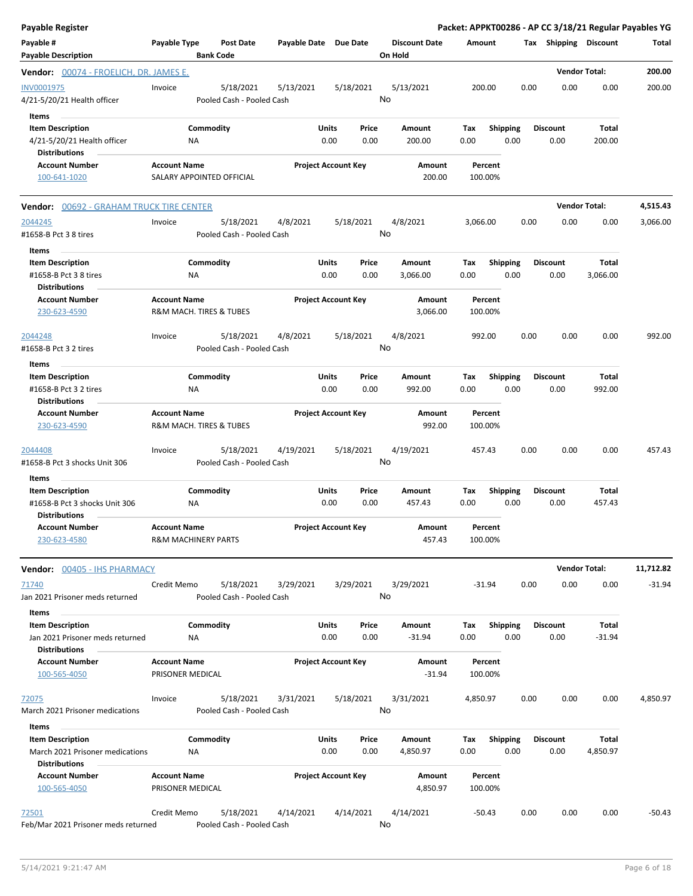| <b>Payable Register</b>                                                                            |                                                       |                       |                            |                                 | Packet: APPKT00286 - AP CC 3/18/21 Regular Payables YG |      |                         |                      |           |
|----------------------------------------------------------------------------------------------------|-------------------------------------------------------|-----------------------|----------------------------|---------------------------------|--------------------------------------------------------|------|-------------------------|----------------------|-----------|
| Payable #<br><b>Payable Description</b>                                                            | Payable Type<br><b>Post Date</b><br><b>Bank Code</b>  | Payable Date Due Date |                            | <b>Discount Date</b><br>On Hold | Amount                                                 |      | Tax Shipping Discount   |                      | Total     |
| <b>Vendor:</b> 00074 - FROELICH, DR. JAMES E.                                                      |                                                       |                       |                            |                                 |                                                        |      |                         | <b>Vendor Total:</b> | 200.00    |
| INV0001975<br>4/21-5/20/21 Health officer                                                          | Invoice<br>5/18/2021<br>Pooled Cash - Pooled Cash     | 5/13/2021             | 5/18/2021                  | 5/13/2021<br>No                 | 200.00                                                 | 0.00 | 0.00                    | 0.00                 | 200.00    |
| Items<br><b>Item Description</b><br>4/21-5/20/21 Health officer<br><b>Distributions</b>            | Commodity<br>ΝA                                       | Units                 | Price<br>0.00<br>0.00      | Amount<br>200.00                | <b>Shipping</b><br>Tax<br>0.00<br>0.00                 |      | <b>Discount</b><br>0.00 | Total<br>200.00      |           |
| <b>Account Number</b><br>100-641-1020                                                              | <b>Account Name</b><br>SALARY APPOINTED OFFICIAL      |                       | <b>Project Account Key</b> | Amount<br>200.00                | Percent<br>100.00%                                     |      |                         |                      |           |
| <b>Vendor:</b> 00692 - GRAHAM TRUCK TIRE CENTER                                                    |                                                       |                       |                            |                                 |                                                        |      |                         | <b>Vendor Total:</b> | 4,515.43  |
| 2044245<br>#1658-B Pct 3 8 tires                                                                   | 5/18/2021<br>Invoice<br>Pooled Cash - Pooled Cash     | 4/8/2021              | 5/18/2021                  | 4/8/2021<br>No                  | 3,066.00                                               | 0.00 | 0.00                    | 0.00                 | 3,066.00  |
| Items<br><b>Item Description</b><br>#1658-B Pct 3 8 tires<br><b>Distributions</b>                  | Commodity<br><b>NA</b>                                | Units                 | Price<br>0.00<br>0.00      | Amount<br>3,066.00              | Tax<br><b>Shipping</b><br>0.00<br>0.00                 |      | <b>Discount</b><br>0.00 | Total<br>3,066.00    |           |
| <b>Account Number</b><br>230-623-4590                                                              | <b>Account Name</b><br>R&M MACH. TIRES & TUBES        |                       | <b>Project Account Key</b> | Amount<br>3,066.00              | Percent<br>100.00%                                     |      |                         |                      |           |
| 2044248<br>#1658-B Pct 3 2 tires<br>Items                                                          | 5/18/2021<br>Invoice<br>Pooled Cash - Pooled Cash     | 4/8/2021              | 5/18/2021                  | 4/8/2021<br>No                  | 992.00                                                 | 0.00 | 0.00                    | 0.00                 | 992.00    |
| <b>Item Description</b><br>#1658-B Pct 3 2 tires<br><b>Distributions</b>                           | Commodity<br>ΝA                                       | Units                 | Price<br>0.00<br>0.00      | Amount<br>992.00                | <b>Shipping</b><br>Tax<br>0.00<br>0.00                 |      | <b>Discount</b><br>0.00 | Total<br>992.00      |           |
| <b>Account Number</b><br>230-623-4590                                                              | <b>Account Name</b><br>R&M MACH. TIRES & TUBES        |                       | <b>Project Account Key</b> | Amount<br>992.00                | Percent<br>100.00%                                     |      |                         |                      |           |
| 2044408<br>#1658-B Pct 3 shocks Unit 306                                                           | 5/18/2021<br>Invoice<br>Pooled Cash - Pooled Cash     | 4/19/2021             | 5/18/2021                  | 4/19/2021<br>No                 | 457.43                                                 | 0.00 | 0.00                    | 0.00                 | 457.43    |
| Items<br><b>Item Description</b>                                                                   | Commodity                                             | Units                 | Price                      | Amount                          | Shipping<br>Tax                                        |      | <b>Discount</b>         | Total                |           |
| #1658-B Pct 3 shocks Unit 306<br><b>Distributions</b>                                              | ΝA                                                    |                       | 0.00<br>0.00               | 457.43                          | 0.00<br>0.00                                           |      | 0.00                    | 457.43               |           |
| <b>Account Number</b><br>230-623-4580                                                              | <b>Account Name</b><br><b>R&amp;M MACHINERY PARTS</b> |                       | <b>Project Account Key</b> | Amount<br>457.43                | Percent<br>100.00%                                     |      |                         |                      |           |
| <b>Vendor:</b> 00405 - IHS PHARMACY                                                                |                                                       |                       |                            |                                 |                                                        |      |                         | <b>Vendor Total:</b> | 11,712.82 |
| 71740<br>Jan 2021 Prisoner meds returned                                                           | 5/18/2021<br>Credit Memo<br>Pooled Cash - Pooled Cash | 3/29/2021             | 3/29/2021                  | 3/29/2021<br>No                 | $-31.94$                                               | 0.00 | 0.00                    | 0.00                 | $-31.94$  |
| Items<br><b>Item Description</b><br>Jan 2021 Prisoner meds returned<br><b>Distributions</b>        | Commodity<br>ΝA                                       | Units                 | Price<br>0.00<br>0.00      | Amount<br>$-31.94$              | Shipping<br>Тах<br>0.00<br>0.00                        |      | <b>Discount</b><br>0.00 | Total<br>$-31.94$    |           |
| <b>Account Number</b><br>100-565-4050                                                              | <b>Account Name</b><br>PRISONER MEDICAL               |                       | <b>Project Account Key</b> | Amount<br>$-31.94$              | Percent<br>100.00%                                     |      |                         |                      |           |
| 72075<br>March 2021 Prisoner medications                                                           | 5/18/2021<br>Invoice<br>Pooled Cash - Pooled Cash     | 3/31/2021             | 5/18/2021                  | 3/31/2021<br>No                 | 4,850.97                                               | 0.00 | 0.00                    | 0.00                 | 4,850.97  |
| <b>Items</b><br><b>Item Description</b><br>March 2021 Prisoner medications<br><b>Distributions</b> | Commodity<br>ΝA                                       | Units                 | Price<br>0.00<br>0.00      | Amount<br>4,850.97              | Tax<br><b>Shipping</b><br>0.00<br>0.00                 |      | <b>Discount</b><br>0.00 | Total<br>4,850.97    |           |
| <b>Account Number</b><br>100-565-4050                                                              | <b>Account Name</b><br>PRISONER MEDICAL               |                       | <b>Project Account Key</b> | Amount<br>4,850.97              | Percent<br>100.00%                                     |      |                         |                      |           |
| 72501<br>Feb/Mar 2021 Prisoner meds returned                                                       | Credit Memo<br>5/18/2021<br>Pooled Cash - Pooled Cash | 4/14/2021             | 4/14/2021                  | 4/14/2021<br>No                 | $-50.43$                                               | 0.00 | 0.00                    | 0.00                 | $-50.43$  |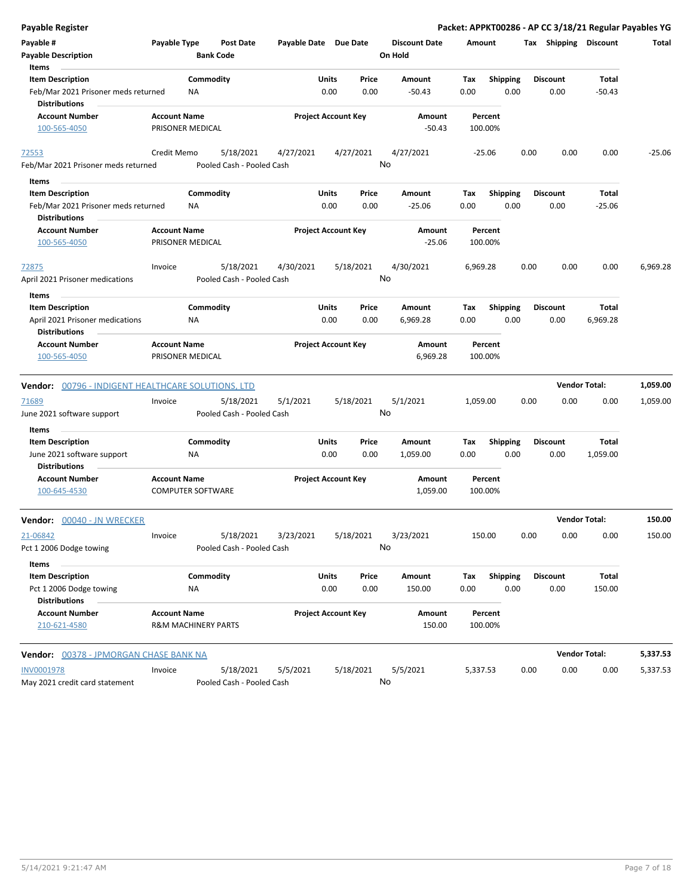| <b>Payable Register</b>                                                                         |                     |                                |                                        |                       |               |                            |                                 |                    |                         |      |                         | Packet: APPKT00286 - AP CC 3/18/21 Regular Payables YG |          |
|-------------------------------------------------------------------------------------------------|---------------------|--------------------------------|----------------------------------------|-----------------------|---------------|----------------------------|---------------------------------|--------------------|-------------------------|------|-------------------------|--------------------------------------------------------|----------|
| Payable #<br><b>Payable Description</b>                                                         | Payable Type        | <b>Bank Code</b>               | Post Date                              | Payable Date Due Date |               |                            | <b>Discount Date</b><br>On Hold | Amount             |                         |      | Tax Shipping Discount   |                                                        | Total    |
| Items<br><b>Item Description</b><br>Feb/Mar 2021 Prisoner meds returned<br><b>Distributions</b> |                     | Commodity<br><b>NA</b>         |                                        |                       | Units<br>0.00 | Price<br>0.00              | Amount<br>$-50.43$              | Tax<br>0.00        | <b>Shipping</b><br>0.00 |      | <b>Discount</b><br>0.00 | Total<br>$-50.43$                                      |          |
| <b>Account Number</b>                                                                           | <b>Account Name</b> |                                |                                        |                       |               | <b>Project Account Key</b> | Amount                          | Percent            |                         |      |                         |                                                        |          |
| 100-565-4050                                                                                    |                     | PRISONER MEDICAL               |                                        |                       |               |                            | $-50.43$                        | 100.00%            |                         |      |                         |                                                        |          |
| 72553                                                                                           | Credit Memo         |                                | 5/18/2021                              | 4/27/2021             |               | 4/27/2021                  | 4/27/2021                       | $-25.06$           |                         | 0.00 | 0.00                    | 0.00                                                   | $-25.06$ |
| Feb/Mar 2021 Prisoner meds returned                                                             |                     |                                | Pooled Cash - Pooled Cash              |                       |               |                            | No                              |                    |                         |      |                         |                                                        |          |
| Items                                                                                           |                     |                                |                                        |                       |               |                            |                                 |                    |                         |      |                         |                                                        |          |
| <b>Item Description</b><br>Feb/Mar 2021 Prisoner meds returned<br><b>Distributions</b>          |                     | Commodity<br>NA                |                                        |                       | Units<br>0.00 | Price<br>0.00              | Amount<br>$-25.06$              | Tax<br>0.00        | <b>Shipping</b><br>0.00 |      | <b>Discount</b><br>0.00 | Total<br>$-25.06$                                      |          |
| <b>Account Number</b><br>100-565-4050                                                           | <b>Account Name</b> | PRISONER MEDICAL               |                                        |                       |               | <b>Project Account Key</b> | Amount<br>$-25.06$              | Percent<br>100.00% |                         |      |                         |                                                        |          |
| 72875<br>April 2021 Prisoner medications                                                        | Invoice             |                                | 5/18/2021<br>Pooled Cash - Pooled Cash | 4/30/2021             |               | 5/18/2021                  | 4/30/2021<br>No                 | 6,969.28           |                         | 0.00 | 0.00                    | 0.00                                                   | 6,969.28 |
|                                                                                                 |                     |                                |                                        |                       |               |                            |                                 |                    |                         |      |                         |                                                        |          |
| <b>Items</b><br><b>Item Description</b>                                                         |                     | Commodity                      |                                        |                       | Units         | Price                      | Amount                          | Tax                | Shipping                |      | <b>Discount</b>         | Total                                                  |          |
| April 2021 Prisoner medications<br><b>Distributions</b>                                         |                     | NA                             |                                        |                       | 0.00          | 0.00                       | 6,969.28                        | 0.00               | 0.00                    |      | 0.00                    | 6,969.28                                               |          |
| <b>Account Number</b><br>100-565-4050                                                           | <b>Account Name</b> | PRISONER MEDICAL               |                                        |                       |               | <b>Project Account Key</b> | Amount<br>6,969.28              | Percent<br>100.00% |                         |      |                         |                                                        |          |
| Vendor: 00796 - INDIGENT HEALTHCARE SOLUTIONS, LTD                                              |                     |                                |                                        |                       |               |                            |                                 |                    |                         |      |                         | <b>Vendor Total:</b>                                   | 1,059.00 |
| 71689<br>June 2021 software support                                                             | Invoice             |                                | 5/18/2021<br>Pooled Cash - Pooled Cash | 5/1/2021              |               | 5/18/2021                  | 5/1/2021<br>No                  | 1,059.00           |                         | 0.00 | 0.00                    | 0.00                                                   | 1,059.00 |
| Items                                                                                           |                     |                                |                                        |                       |               |                            |                                 |                    |                         |      |                         |                                                        |          |
| <b>Item Description</b><br>June 2021 software support<br><b>Distributions</b>                   |                     | Commodity<br><b>NA</b>         |                                        |                       | Units<br>0.00 | Price<br>0.00              | Amount<br>1,059.00              | Tax<br>0.00        | <b>Shipping</b><br>0.00 |      | <b>Discount</b><br>0.00 | Total<br>1,059.00                                      |          |
| Account Number<br>100-645-4530                                                                  | <b>Account Name</b> | <b>COMPUTER SOFTWARE</b>       |                                        |                       |               | <b>Project Account Key</b> | Amount<br>1,059.00              | Percent<br>100.00% |                         |      |                         |                                                        |          |
| Vendor: 00040 - JN WRECKER                                                                      |                     |                                |                                        |                       |               |                            |                                 |                    |                         |      | <b>Vendor Total:</b>    |                                                        | 150.00   |
| 21-06842<br>Pct 1 2006 Dodge towing                                                             | Invoice             |                                | 5/18/2021<br>Pooled Cash - Pooled Cash | 3/23/2021             |               | 5/18/2021                  | 3/23/2021<br>No                 | 150.00             |                         | 0.00 | 0.00                    | 0.00                                                   | 150.00   |
| Items                                                                                           |                     |                                |                                        |                       |               |                            |                                 |                    |                         |      |                         |                                                        |          |
| <b>Item Description</b><br>Pct 1 2006 Dodge towing<br><b>Distributions</b>                      |                     | Commodity<br>ΝA                |                                        |                       | Units<br>0.00 | Price<br>0.00              | Amount<br>150.00                | Tax<br>0.00        | <b>Shipping</b><br>0.00 |      | <b>Discount</b><br>0.00 | Total<br>150.00                                        |          |
| <b>Account Number</b><br>210-621-4580                                                           | <b>Account Name</b> | <b>R&amp;M MACHINERY PARTS</b> |                                        |                       |               | <b>Project Account Key</b> | Amount<br>150.00                | Percent<br>100.00% |                         |      |                         |                                                        |          |
| <b>Vendor: 00378 - JPMORGAN CHASE BANK NA</b>                                                   |                     |                                |                                        |                       |               |                            |                                 |                    |                         |      |                         | <b>Vendor Total:</b>                                   | 5,337.53 |
| <b>INV0001978</b><br>May 2021 credit card statement                                             | Invoice             |                                | 5/18/2021<br>Pooled Cash - Pooled Cash | 5/5/2021              |               | 5/18/2021                  | 5/5/2021<br>No                  | 5,337.53           |                         | 0.00 | 0.00                    | 0.00                                                   | 5,337.53 |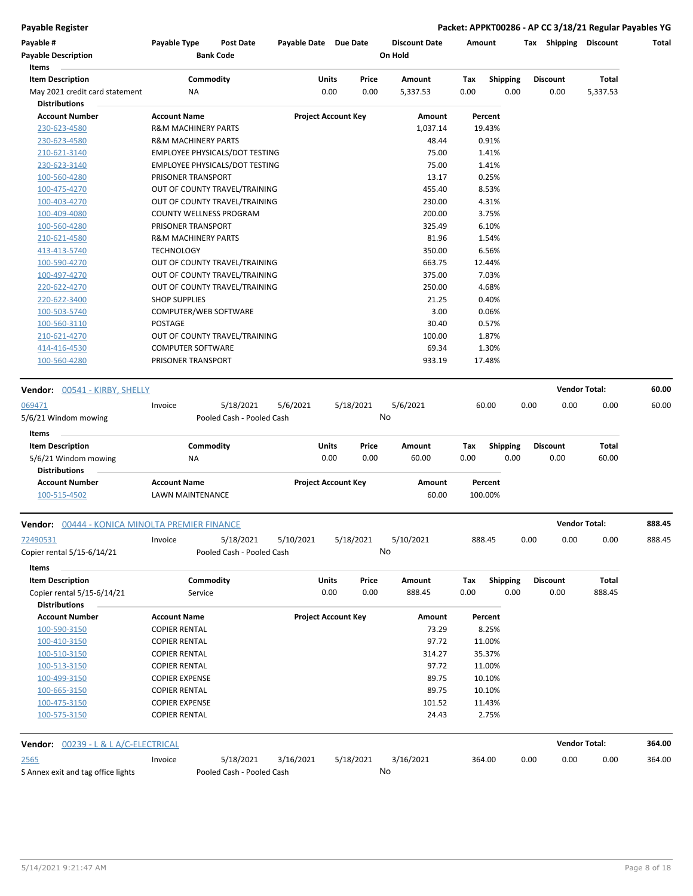**Payable Register Packet: APPKT00286 - AP CC 3/18/21 Regular Payables YG**

| Payable #                                       | Payable Type                   | Post Date                                                      | Payable Date Due Date |                            |           | <b>Discount Date</b> | Amount  |                 |      | Tax Shipping         | <b>Discount</b> | Total  |
|-------------------------------------------------|--------------------------------|----------------------------------------------------------------|-----------------------|----------------------------|-----------|----------------------|---------|-----------------|------|----------------------|-----------------|--------|
| <b>Payable Description</b><br>Items             |                                | <b>Bank Code</b>                                               |                       |                            |           | On Hold              |         |                 |      |                      |                 |        |
| <b>Item Description</b>                         |                                | Commodity                                                      |                       | Units                      | Price     | Amount               | Tax     | Shipping        |      | <b>Discount</b>      | Total           |        |
| May 2021 credit card statement                  | ΝA                             |                                                                |                       | 0.00                       | 0.00      | 5,337.53             | 0.00    | 0.00            |      | 0.00                 | 5,337.53        |        |
| <b>Distributions</b>                            |                                |                                                                |                       |                            |           |                      |         |                 |      |                      |                 |        |
| <b>Account Number</b>                           | <b>Account Name</b>            |                                                                |                       | <b>Project Account Key</b> |           | Amount               |         | Percent         |      |                      |                 |        |
| 230-623-4580                                    | <b>R&amp;M MACHINERY PARTS</b> |                                                                |                       |                            |           | 1,037.14             |         | 19.43%          |      |                      |                 |        |
| 230-623-4580                                    | <b>R&amp;M MACHINERY PARTS</b> |                                                                |                       |                            |           | 48.44                |         | 0.91%           |      |                      |                 |        |
| 210-621-3140                                    |                                | EMPLOYEE PHYSICALS/DOT TESTING                                 |                       |                            |           | 75.00                |         | 1.41%           |      |                      |                 |        |
| 230-623-3140                                    |                                | <b>EMPLOYEE PHYSICALS/DOT TESTING</b>                          |                       |                            |           | 75.00                |         | 1.41%           |      |                      |                 |        |
| 100-560-4280                                    | PRISONER TRANSPORT             |                                                                |                       |                            |           | 13.17                |         | 0.25%           |      |                      |                 |        |
| 100-475-4270                                    |                                | OUT OF COUNTY TRAVEL/TRAINING                                  |                       |                            |           | 455.40               |         | 8.53%           |      |                      |                 |        |
| 100-403-4270                                    |                                | OUT OF COUNTY TRAVEL/TRAINING                                  |                       |                            |           | 230.00               |         | 4.31%           |      |                      |                 |        |
| 100-409-4080                                    |                                | COUNTY WELLNESS PROGRAM                                        |                       |                            |           | 200.00               |         | 3.75%           |      |                      |                 |        |
| 100-560-4280                                    | PRISONER TRANSPORT             |                                                                |                       |                            |           | 325.49               |         | 6.10%           |      |                      |                 |        |
| 210-621-4580                                    | <b>R&amp;M MACHINERY PARTS</b> |                                                                |                       |                            |           | 81.96                |         | 1.54%           |      |                      |                 |        |
| 413-413-5740                                    | <b>TECHNOLOGY</b>              |                                                                |                       |                            |           | 350.00               |         | 6.56%           |      |                      |                 |        |
|                                                 |                                |                                                                |                       |                            |           | 663.75               |         | 12.44%          |      |                      |                 |        |
| 100-590-4270<br>100-497-4270                    |                                | OUT OF COUNTY TRAVEL/TRAINING<br>OUT OF COUNTY TRAVEL/TRAINING |                       |                            |           | 375.00               |         | 7.03%           |      |                      |                 |        |
| 220-622-4270                                    |                                | OUT OF COUNTY TRAVEL/TRAINING                                  |                       |                            |           | 250.00               |         | 4.68%           |      |                      |                 |        |
|                                                 |                                |                                                                |                       |                            |           |                      |         |                 |      |                      |                 |        |
| 220-622-3400                                    | <b>SHOP SUPPLIES</b>           |                                                                |                       |                            |           | 21.25                |         | 0.40%           |      |                      |                 |        |
| 100-503-5740                                    | COMPUTER/WEB SOFTWARE          |                                                                |                       |                            |           | 3.00                 |         | 0.06%           |      |                      |                 |        |
| 100-560-3110                                    | <b>POSTAGE</b>                 |                                                                |                       |                            |           | 30.40                |         | 0.57%           |      |                      |                 |        |
| 210-621-4270                                    |                                | OUT OF COUNTY TRAVEL/TRAINING                                  |                       |                            |           | 100.00               |         | 1.87%           |      |                      |                 |        |
| 414-416-4530                                    | <b>COMPUTER SOFTWARE</b>       |                                                                |                       |                            |           | 69.34                |         | 1.30%           |      |                      |                 |        |
| 100-560-4280                                    | PRISONER TRANSPORT             |                                                                |                       |                            |           | 933.19               |         | 17.48%          |      |                      |                 |        |
| <b>Vendor:</b> 00541 - KIRBY, SHELLY            |                                |                                                                |                       |                            |           |                      |         |                 |      | <b>Vendor Total:</b> |                 | 60.00  |
|                                                 |                                |                                                                |                       |                            |           |                      |         |                 |      |                      |                 |        |
| 069471                                          | Invoice                        | 5/18/2021                                                      | 5/6/2021              |                            | 5/18/2021 | 5/6/2021<br>No       |         | 60.00           | 0.00 | 0.00                 | 0.00            | 60.00  |
| 5/6/21 Windom mowing                            |                                | Pooled Cash - Pooled Cash                                      |                       |                            |           |                      |         |                 |      |                      |                 |        |
| Items                                           |                                |                                                                |                       |                            |           |                      |         |                 |      |                      |                 |        |
| <b>Item Description</b>                         |                                | Commodity                                                      |                       | Units                      | Price     | Amount               | Tax     | <b>Shipping</b> |      | <b>Discount</b>      | Total           |        |
| 5/6/21 Windom mowing                            | ΝA                             |                                                                |                       | 0.00                       | 0.00      | 60.00                | 0.00    | 0.00            |      | 0.00                 | 60.00           |        |
| <b>Distributions</b>                            |                                |                                                                |                       |                            |           |                      |         |                 |      |                      |                 |        |
| <b>Account Number</b>                           | <b>Account Name</b>            |                                                                |                       | <b>Project Account Key</b> |           | Amount               |         | Percent         |      |                      |                 |        |
| 100-515-4502                                    | LAWN MAINTENANCE               |                                                                |                       |                            |           | 60.00                | 100.00% |                 |      |                      |                 |        |
| Vendor: 00444 - KONICA MINOLTA PREMIER FINANCE  |                                |                                                                |                       |                            |           |                      |         |                 |      | <b>Vendor Total:</b> |                 | 888.45 |
| 72490531                                        | Invoice                        | 5/18/2021                                                      | 5/10/2021             |                            | 5/18/2021 | 5/10/2021            | 888.45  |                 | 0.00 | 0.00                 | 0.00            | 888.45 |
| Copier rental 5/15-6/14/21                      |                                | Pooled Cash - Pooled Cash                                      |                       |                            |           | No                   |         |                 |      |                      |                 |        |
|                                                 |                                |                                                                |                       |                            |           |                      |         |                 |      |                      |                 |        |
| Items                                           |                                |                                                                |                       |                            |           |                      |         |                 |      |                      |                 |        |
| <b>Item Description</b>                         |                                | Commodity                                                      |                       | Units                      | Price     | Amount               | Tax     | Shipping        |      | <b>Discount</b>      | Total           |        |
| Copier rental 5/15-6/14/21                      | Service                        |                                                                |                       | 0.00                       | 0.00      | 888.45               | 0.00    | 0.00            |      | 0.00                 | 888.45          |        |
| <b>Distributions</b>                            |                                |                                                                |                       |                            |           |                      |         |                 |      |                      |                 |        |
| <b>Account Number</b>                           | <b>Account Name</b>            |                                                                |                       | <b>Project Account Key</b> |           | Amount               |         | Percent         |      |                      |                 |        |
| 100-590-3150                                    | <b>COPIER RENTAL</b>           |                                                                |                       |                            |           | 73.29                |         | 8.25%           |      |                      |                 |        |
| 100-410-3150                                    | <b>COPIER RENTAL</b>           |                                                                |                       |                            |           | 97.72                |         | 11.00%          |      |                      |                 |        |
| 100-510-3150                                    | <b>COPIER RENTAL</b>           |                                                                |                       |                            |           | 314.27               |         | 35.37%          |      |                      |                 |        |
| 100-513-3150                                    | <b>COPIER RENTAL</b>           |                                                                |                       |                            |           | 97.72                |         | 11.00%          |      |                      |                 |        |
| 100-499-3150                                    | <b>COPIER EXPENSE</b>          |                                                                |                       |                            |           | 89.75                |         | 10.10%          |      |                      |                 |        |
| 100-665-3150                                    | <b>COPIER RENTAL</b>           |                                                                |                       |                            |           | 89.75                |         | 10.10%          |      |                      |                 |        |
| 100-475-3150                                    | <b>COPIER EXPENSE</b>          |                                                                |                       |                            |           | 101.52               |         | 11.43%          |      |                      |                 |        |
| 100-575-3150                                    | <b>COPIER RENTAL</b>           |                                                                |                       |                            |           | 24.43                |         | 2.75%           |      |                      |                 |        |
| <b>Vendor: 00239 - L &amp; L A/C-ELECTRICAL</b> |                                |                                                                |                       |                            |           |                      |         |                 |      | <b>Vendor Total:</b> |                 | 364.00 |
|                                                 |                                |                                                                |                       |                            |           |                      |         |                 |      |                      |                 |        |
| 2565                                            | Invoice                        | 5/18/2021                                                      | 3/16/2021             |                            | 5/18/2021 | 3/16/2021<br>No      | 364.00  |                 | 0.00 | 0.00                 | 0.00            | 364.00 |
| S Annex exit and tag office lights              |                                | Pooled Cash - Pooled Cash                                      |                       |                            |           |                      |         |                 |      |                      |                 |        |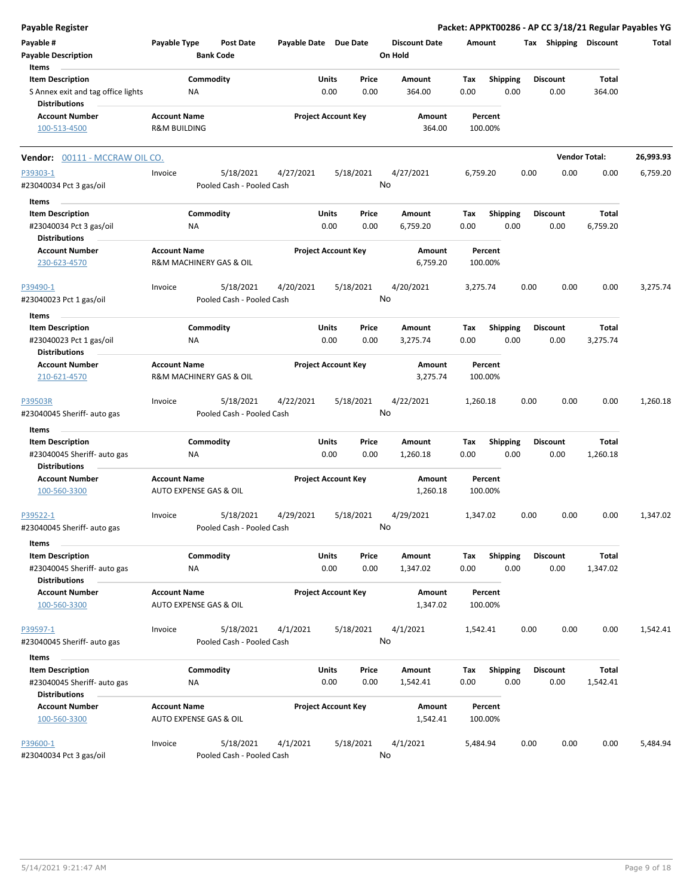| <b>Payable Register</b>                                    |                         |                                      |                       |                            |               |                                 |             |                         |      |                       |                      | Packet: APPKT00286 - AP CC 3/18/21 Regular Payables YG |
|------------------------------------------------------------|-------------------------|--------------------------------------|-----------------------|----------------------------|---------------|---------------------------------|-------------|-------------------------|------|-----------------------|----------------------|--------------------------------------------------------|
| Payable #<br><b>Payable Description</b>                    | Payable Type            | <b>Post Date</b><br><b>Bank Code</b> | Payable Date Due Date |                            |               | <b>Discount Date</b><br>On Hold | Amount      |                         |      | Tax Shipping Discount |                      | Total                                                  |
| Items                                                      |                         |                                      |                       |                            |               |                                 |             |                         |      |                       |                      |                                                        |
| <b>Item Description</b>                                    |                         | Commodity                            |                       | Units                      | Price         | Amount                          | Tax         | Shipping                |      | <b>Discount</b>       | <b>Total</b>         |                                                        |
| S Annex exit and tag office lights<br><b>Distributions</b> |                         | NA                                   |                       | 0.00                       | 0.00          | 364.00                          | 0.00        | 0.00                    |      | 0.00                  | 364.00               |                                                        |
| <b>Account Number</b>                                      | <b>Account Name</b>     |                                      |                       | <b>Project Account Key</b> |               | Amount                          |             | Percent                 |      |                       |                      |                                                        |
| 100-513-4500                                               | <b>R&amp;M BUILDING</b> |                                      |                       |                            |               | 364.00                          |             | 100.00%                 |      |                       |                      |                                                        |
| Vendor: 00111 - MCCRAW OIL CO.                             |                         |                                      |                       |                            |               |                                 |             |                         |      |                       | <b>Vendor Total:</b> | 26,993.93                                              |
| P39303-1                                                   | Invoice                 | 5/18/2021                            | 4/27/2021             |                            | 5/18/2021     | 4/27/2021                       | 6,759.20    |                         | 0.00 | 0.00                  | 0.00                 | 6,759.20                                               |
| #23040034 Pct 3 gas/oil                                    |                         | Pooled Cash - Pooled Cash            |                       |                            |               | No                              |             |                         |      |                       |                      |                                                        |
| Items                                                      |                         |                                      |                       |                            |               |                                 |             |                         |      |                       |                      |                                                        |
| <b>Item Description</b>                                    |                         | Commodity                            |                       | <b>Units</b>               | Price         | Amount                          | Tax         | <b>Shipping</b>         |      | <b>Discount</b>       | Total                |                                                        |
| #23040034 Pct 3 gas/oil<br><b>Distributions</b>            |                         | ΝA                                   |                       | 0.00                       | 0.00          | 6,759.20                        | 0.00        | 0.00                    |      | 0.00                  | 6,759.20             |                                                        |
| <b>Account Number</b>                                      | <b>Account Name</b>     |                                      |                       | <b>Project Account Key</b> |               | Amount                          |             | Percent                 |      |                       |                      |                                                        |
| 230-623-4570                                               |                         | R&M MACHINERY GAS & OIL              |                       |                            |               | 6,759.20                        |             | 100.00%                 |      |                       |                      |                                                        |
| P39490-1                                                   | Invoice                 | 5/18/2021                            | 4/20/2021             |                            | 5/18/2021     | 4/20/2021                       | 3,275.74    |                         | 0.00 | 0.00                  | 0.00                 | 3,275.74                                               |
| #23040023 Pct 1 gas/oil                                    |                         | Pooled Cash - Pooled Cash            |                       |                            |               | No                              |             |                         |      |                       |                      |                                                        |
| Items                                                      |                         |                                      |                       |                            |               |                                 |             |                         |      |                       |                      |                                                        |
| <b>Item Description</b>                                    |                         | Commodity                            |                       | Units                      | Price         | Amount                          | Tax         | <b>Shipping</b>         |      | <b>Discount</b>       | <b>Total</b>         |                                                        |
| #23040023 Pct 1 gas/oil<br><b>Distributions</b>            |                         | ΝA                                   |                       | 0.00                       | 0.00          | 3,275.74                        | 0.00        | 0.00                    |      | 0.00                  | 3,275.74             |                                                        |
| <b>Account Number</b>                                      | <b>Account Name</b>     |                                      |                       | <b>Project Account Key</b> |               | Amount                          |             | Percent                 |      |                       |                      |                                                        |
| 210-621-4570                                               |                         | R&M MACHINERY GAS & OIL              |                       |                            |               | 3,275.74                        |             | 100.00%                 |      |                       |                      |                                                        |
| P39503R                                                    | Invoice                 | 5/18/2021                            | 4/22/2021             |                            | 5/18/2021     | 4/22/2021                       | 1,260.18    |                         | 0.00 | 0.00                  | 0.00                 | 1,260.18                                               |
| #23040045 Sheriff- auto gas                                |                         | Pooled Cash - Pooled Cash            |                       |                            |               | No                              |             |                         |      |                       |                      |                                                        |
| Items                                                      |                         |                                      |                       |                            |               |                                 |             |                         |      |                       |                      |                                                        |
| <b>Item Description</b>                                    |                         | Commodity                            |                       | Units                      | Price         | Amount                          | Tax         | <b>Shipping</b>         |      | <b>Discount</b>       | Total                |                                                        |
| #23040045 Sheriff- auto gas                                |                         | ΝA                                   |                       | 0.00                       | 0.00          | 1,260.18                        | 0.00        | 0.00                    |      | 0.00                  | 1,260.18             |                                                        |
| <b>Distributions</b>                                       | <b>Account Name</b>     |                                      |                       | <b>Project Account Key</b> |               |                                 |             |                         |      |                       |                      |                                                        |
| <b>Account Number</b><br>100-560-3300                      |                         | <b>AUTO EXPENSE GAS &amp; OIL</b>    |                       |                            |               | Amount<br>1,260.18              |             | Percent<br>100.00%      |      |                       |                      |                                                        |
| P39522-1                                                   | Invoice                 | 5/18/2021                            | 4/29/2021             |                            | 5/18/2021     | 4/29/2021                       | 1,347.02    |                         | 0.00 | 0.00                  | 0.00                 | 1,347.02                                               |
| #23040045 Sheriff- auto gas                                |                         | Pooled Cash - Pooled Cash            |                       |                            |               | No                              |             |                         |      |                       |                      |                                                        |
| Items<br><b>Item Description</b>                           |                         | Commodity                            |                       | Units                      |               |                                 |             |                         |      | <b>Discount</b>       | Total                |                                                        |
| #23040045 Sheriff- auto gas                                |                         | ΝA                                   |                       | 0.00                       | Price<br>0.00 | Amount<br>1,347.02              | Tax<br>0.00 | <b>Shipping</b><br>0.00 |      | 0.00                  | 1,347.02             |                                                        |
| <b>Distributions</b>                                       |                         |                                      |                       |                            |               |                                 |             |                         |      |                       |                      |                                                        |
| <b>Account Number</b><br>100-560-3300                      | <b>Account Name</b>     | AUTO EXPENSE GAS & OIL               |                       | <b>Project Account Key</b> |               | Amount<br>1,347.02              |             | Percent<br>100.00%      |      |                       |                      |                                                        |
| P39597-1                                                   | Invoice                 | 5/18/2021                            | 4/1/2021              |                            | 5/18/2021     | 4/1/2021                        | 1,542.41    |                         | 0.00 | 0.00                  | 0.00                 | 1,542.41                                               |
| #23040045 Sheriff- auto gas                                |                         | Pooled Cash - Pooled Cash            |                       |                            |               | No                              |             |                         |      |                       |                      |                                                        |
| Items                                                      |                         |                                      |                       |                            |               |                                 |             |                         |      |                       |                      |                                                        |
| <b>Item Description</b>                                    |                         | Commodity                            |                       | Units                      | Price         | Amount                          | Tax         | <b>Shipping</b>         |      | <b>Discount</b>       | Total                |                                                        |
| #23040045 Sheriff- auto gas<br><b>Distributions</b>        |                         | NA                                   |                       | 0.00                       | 0.00          | 1,542.41                        | 0.00        | 0.00                    |      | 0.00                  | 1,542.41             |                                                        |
| <b>Account Number</b>                                      | <b>Account Name</b>     |                                      |                       | <b>Project Account Key</b> |               | Amount                          |             | Percent                 |      |                       |                      |                                                        |
| 100-560-3300                                               |                         | AUTO EXPENSE GAS & OIL               |                       |                            |               | 1,542.41                        |             | 100.00%                 |      |                       |                      |                                                        |
| P39600-1                                                   | Invoice                 | 5/18/2021                            | 4/1/2021              |                            | 5/18/2021     | 4/1/2021                        | 5,484.94    |                         | 0.00 | 0.00                  | 0.00                 | 5,484.94                                               |
| #23040034 Pct 3 gas/oil                                    |                         | Pooled Cash - Pooled Cash            |                       |                            |               | No                              |             |                         |      |                       |                      |                                                        |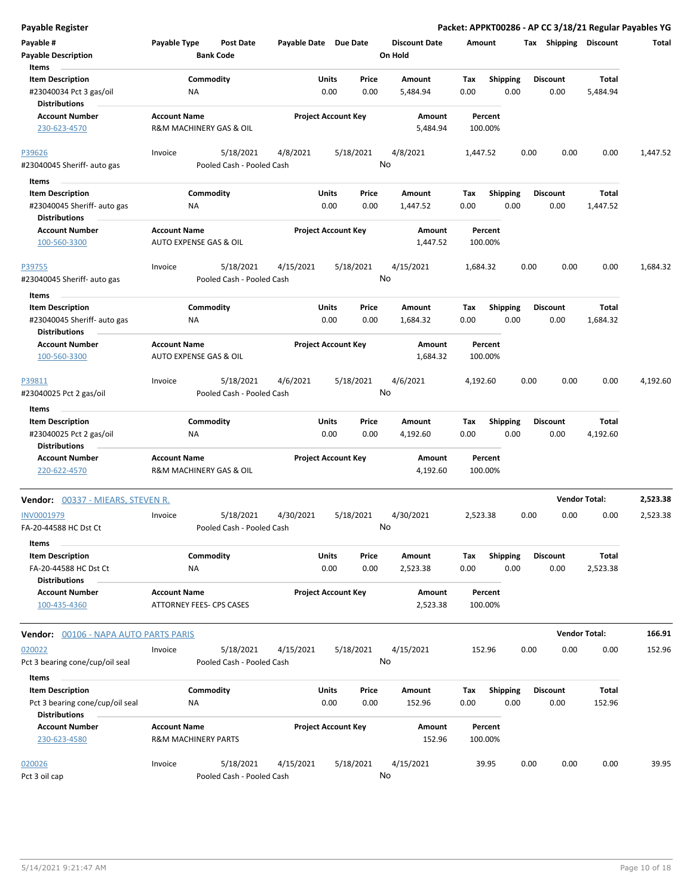| <b>Payable Register</b>                                                    |                                                 |                                        |                            |               |               |                                 |                    |                         |      |                         |                      | Packet: APPKT00286 - AP CC 3/18/21 Regular Payables YG |
|----------------------------------------------------------------------------|-------------------------------------------------|----------------------------------------|----------------------------|---------------|---------------|---------------------------------|--------------------|-------------------------|------|-------------------------|----------------------|--------------------------------------------------------|
| Payable #<br><b>Payable Description</b>                                    | Payable Type                                    | <b>Post Date</b><br><b>Bank Code</b>   | Payable Date Due Date      |               |               | <b>Discount Date</b><br>On Hold | Amount             |                         |      | Tax Shipping Discount   |                      | Total                                                  |
| Items                                                                      |                                                 |                                        |                            |               |               |                                 |                    |                         |      |                         |                      |                                                        |
| <b>Item Description</b>                                                    |                                                 | Commodity                              |                            | Units         | Price         | Amount                          | Tax                | <b>Shipping</b>         |      | <b>Discount</b>         | Total                |                                                        |
| #23040034 Pct 3 gas/oil<br><b>Distributions</b>                            | ΝA                                              |                                        |                            | 0.00          | 0.00          | 5,484.94                        | 0.00               | 0.00                    |      | 0.00                    | 5,484.94             |                                                        |
| <b>Account Number</b>                                                      | <b>Account Name</b>                             |                                        | <b>Project Account Key</b> |               |               | Amount                          | Percent            |                         |      |                         |                      |                                                        |
| 230-623-4570                                                               | R&M MACHINERY GAS & OIL                         |                                        |                            |               |               | 5,484.94                        | 100.00%            |                         |      |                         |                      |                                                        |
| P39626                                                                     | Invoice                                         | 5/18/2021                              | 4/8/2021                   |               | 5/18/2021     | 4/8/2021                        | 1,447.52           |                         | 0.00 | 0.00                    | 0.00                 | 1,447.52                                               |
| #23040045 Sheriff- auto gas                                                |                                                 | Pooled Cash - Pooled Cash              |                            |               |               | No                              |                    |                         |      |                         |                      |                                                        |
| Items                                                                      |                                                 |                                        |                            |               |               |                                 |                    |                         |      |                         |                      |                                                        |
| <b>Item Description</b>                                                    | Commodity                                       |                                        |                            | Units         | Price         | Amount                          | Tax                | <b>Shipping</b>         |      | <b>Discount</b>         | Total                |                                                        |
| #23040045 Sheriff- auto gas<br><b>Distributions</b>                        | ΝA                                              |                                        |                            | 0.00          | 0.00          | 1,447.52                        | 0.00               | 0.00                    |      | 0.00                    | 1,447.52             |                                                        |
| <b>Account Number</b>                                                      | <b>Account Name</b>                             |                                        | <b>Project Account Key</b> |               |               | Amount                          | Percent            |                         |      |                         |                      |                                                        |
| 100-560-3300                                                               | AUTO EXPENSE GAS & OIL                          |                                        |                            |               |               | 1,447.52                        | 100.00%            |                         |      |                         |                      |                                                        |
| P39755<br>#23040045 Sheriff- auto gas                                      | Invoice                                         | 5/18/2021<br>Pooled Cash - Pooled Cash | 4/15/2021                  |               | 5/18/2021     | 4/15/2021<br>No                 | 1,684.32           |                         | 0.00 | 0.00                    | 0.00                 | 1,684.32                                               |
| Items                                                                      |                                                 |                                        |                            |               |               |                                 |                    |                         |      |                         |                      |                                                        |
| <b>Item Description</b>                                                    | Commodity                                       |                                        |                            | Units         | Price         | Amount                          | Tax                | <b>Shipping</b>         |      | <b>Discount</b>         | Total                |                                                        |
| #23040045 Sheriff- auto gas<br><b>Distributions</b>                        | <b>NA</b>                                       |                                        |                            | 0.00          | 0.00          | 1,684.32                        | 0.00               | 0.00                    |      | 0.00                    | 1,684.32             |                                                        |
| <b>Account Number</b>                                                      | <b>Account Name</b>                             |                                        | <b>Project Account Key</b> |               |               | Amount                          | Percent            |                         |      |                         |                      |                                                        |
| 100-560-3300                                                               | AUTO EXPENSE GAS & OIL                          |                                        |                            |               |               | 1,684.32                        | 100.00%            |                         |      |                         |                      |                                                        |
| P39811<br>#23040025 Pct 2 gas/oil                                          | Invoice                                         | 5/18/2021<br>Pooled Cash - Pooled Cash | 4/6/2021                   |               | 5/18/2021     | 4/6/2021<br>No                  | 4,192.60           |                         | 0.00 | 0.00                    | 0.00                 | 4,192.60                                               |
| Items                                                                      |                                                 |                                        |                            |               |               |                                 |                    |                         |      |                         |                      |                                                        |
| <b>Item Description</b><br>#23040025 Pct 2 gas/oil<br><b>Distributions</b> | Commodity<br>ΝA                                 |                                        |                            | Units<br>0.00 | Price<br>0.00 | Amount<br>4,192.60              | Tax<br>0.00        | <b>Shipping</b><br>0.00 |      | <b>Discount</b><br>0.00 | Total<br>4,192.60    |                                                        |
| <b>Account Number</b>                                                      | <b>Account Name</b>                             |                                        | <b>Project Account Key</b> |               |               | Amount                          | Percent            |                         |      |                         |                      |                                                        |
| 220-622-4570                                                               | R&M MACHINERY GAS & OIL                         |                                        |                            |               |               | 4,192.60                        | 100.00%            |                         |      |                         |                      |                                                        |
| <b>Vendor: 00337 - MIEARS, STEVEN R.</b>                                   |                                                 |                                        |                            |               |               |                                 |                    |                         |      |                         | <b>Vendor Total:</b> | 2,523.38                                               |
| <b>INV0001979</b><br>FA-20-44588 HC Dst Ct                                 | Invoice                                         | 5/18/2021<br>Pooled Cash - Pooled Cash | 4/30/2021                  |               | 5/18/2021     | 4/30/2021<br>No                 | 2,523.38           |                         | 0.00 | 0.00                    | 0.00                 | 2,523.38                                               |
|                                                                            |                                                 |                                        |                            |               |               |                                 |                    |                         |      |                         |                      |                                                        |
| Items                                                                      | Commodity                                       |                                        |                            |               | Price         |                                 |                    | Shipping                |      |                         | Total                |                                                        |
| <b>Item Description</b><br>FA-20-44588 HC Dst Ct<br><b>Distributions</b>   | ΝA                                              |                                        |                            | Units<br>0.00 | 0.00          | Amount<br>2,523.38              | Tax<br>0.00        | 0.00                    |      | <b>Discount</b><br>0.00 | 2,523.38             |                                                        |
| <b>Account Number</b><br>100-435-4360                                      | <b>Account Name</b><br>ATTORNEY FEES- CPS CASES |                                        | <b>Project Account Key</b> |               |               | Amount<br>2,523.38              | Percent<br>100.00% |                         |      |                         |                      |                                                        |
| <b>Vendor: 00106 - NAPA AUTO PARTS PARIS</b>                               |                                                 |                                        |                            |               |               |                                 |                    |                         |      |                         | <b>Vendor Total:</b> | 166.91                                                 |
| 020022                                                                     | Invoice                                         | 5/18/2021                              | 4/15/2021                  |               | 5/18/2021     | 4/15/2021                       | 152.96             |                         | 0.00 | 0.00                    | 0.00                 | 152.96                                                 |
| Pct 3 bearing cone/cup/oil seal                                            |                                                 | Pooled Cash - Pooled Cash              |                            |               |               | No                              |                    |                         |      |                         |                      |                                                        |
|                                                                            |                                                 |                                        |                            |               |               |                                 |                    |                         |      |                         |                      |                                                        |
| Items<br><b>Item Description</b>                                           |                                                 | Commodity                              |                            | Units         | Price         | Amount                          |                    | <b>Shipping</b>         |      | <b>Discount</b>         | Total                |                                                        |
| Pct 3 bearing cone/cup/oil seal<br><b>Distributions</b>                    | ΝA                                              |                                        |                            | 0.00          | 0.00          | 152.96                          | Тах<br>0.00        | 0.00                    |      | 0.00                    | 152.96               |                                                        |
| <b>Account Number</b>                                                      | <b>Account Name</b>                             |                                        | <b>Project Account Key</b> |               |               | Amount                          | Percent            |                         |      |                         |                      |                                                        |
| 230-623-4580                                                               | <b>R&amp;M MACHINERY PARTS</b>                  |                                        |                            |               |               | 152.96                          | 100.00%            |                         |      |                         |                      |                                                        |
| 020026                                                                     | Invoice                                         | 5/18/2021                              | 4/15/2021                  |               | 5/18/2021     | 4/15/2021                       | 39.95              |                         | 0.00 | 0.00                    | 0.00                 | 39.95                                                  |
| Pct 3 oil cap                                                              |                                                 | Pooled Cash - Pooled Cash              |                            |               |               | No                              |                    |                         |      |                         |                      |                                                        |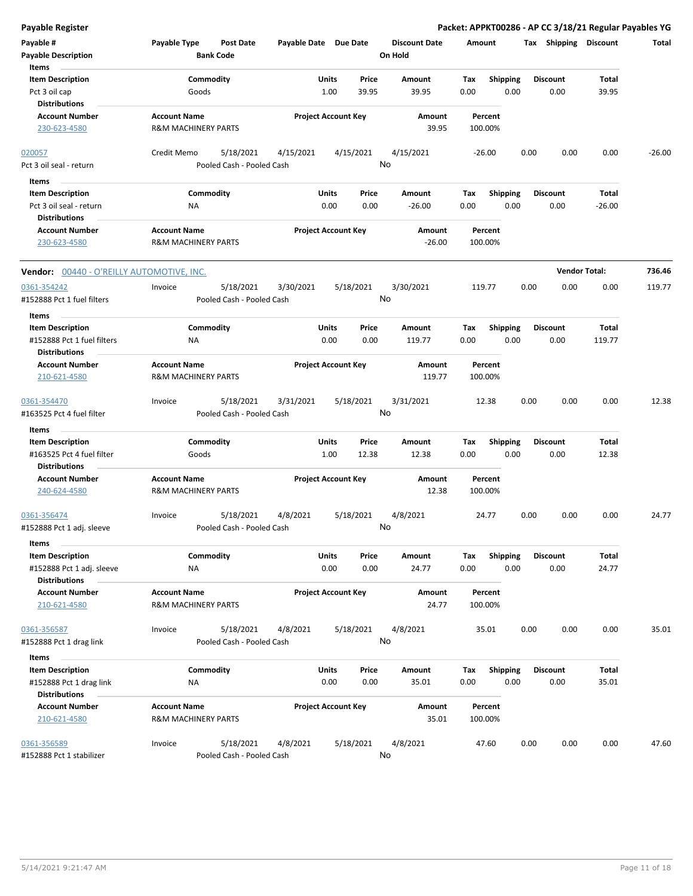**Payable Register Packet: APPKT00286 - AP CC 3/18/21 Regular Payables YG**

| Payable #<br><b>Payable Description</b><br>Items                 | Payable Type                                          | <b>Post Date</b><br><b>Bank Code</b>   | Payable Date Due Date |                                 | <b>Discount Date</b><br>On Hold | Amount             |                         |      | Tax Shipping Discount   |                | Total    |
|------------------------------------------------------------------|-------------------------------------------------------|----------------------------------------|-----------------------|---------------------------------|---------------------------------|--------------------|-------------------------|------|-------------------------|----------------|----------|
| <b>Item Description</b><br>Pct 3 oil cap<br><b>Distributions</b> | Goods                                                 | Commodity                              |                       | Units<br>Price<br>39.95<br>1.00 | Amount<br>39.95                 | Tax<br>0.00        | <b>Shipping</b><br>0.00 |      | <b>Discount</b><br>0.00 | Total<br>39.95 |          |
| <b>Account Number</b><br>230-623-4580                            | <b>Account Name</b><br><b>R&amp;M MACHINERY PARTS</b> |                                        |                       | <b>Project Account Key</b>      | Amount<br>39.95                 | Percent<br>100.00% |                         |      |                         |                |          |
| 020057<br>Pct 3 oil seal - return                                | Credit Memo                                           | 5/18/2021<br>Pooled Cash - Pooled Cash | 4/15/2021             | 4/15/2021                       | 4/15/2021<br>No                 | -26.00             |                         | 0.00 | 0.00                    | 0.00           | $-26.00$ |
| Items                                                            |                                                       |                                        |                       |                                 |                                 |                    |                         |      |                         |                |          |
| <b>Item Description</b>                                          |                                                       | Commodity                              |                       | Units<br>Price                  | Amount                          | Tax                | <b>Shipping</b>         |      | <b>Discount</b>         | Total          |          |
| Pct 3 oil seal - return<br><b>Distributions</b>                  | ΝA                                                    |                                        |                       | 0.00<br>0.00                    | $-26.00$                        | 0.00               | 0.00                    |      | 0.00                    | $-26.00$       |          |
| <b>Account Number</b><br>230-623-4580                            | <b>Account Name</b><br><b>R&amp;M MACHINERY PARTS</b> |                                        |                       | <b>Project Account Key</b>      | Amount<br>$-26.00$              | Percent<br>100.00% |                         |      |                         |                |          |
| <b>Vendor:</b> 00440 - O'REILLY AUTOMOTIVE, INC.                 |                                                       |                                        |                       |                                 |                                 |                    |                         |      | <b>Vendor Total:</b>    |                | 736.46   |
| 0361-354242<br>#152888 Pct 1 fuel filters                        | Invoice                                               | 5/18/2021<br>Pooled Cash - Pooled Cash | 3/30/2021             | 5/18/2021                       | 3/30/2021<br>No                 | 119.77             |                         | 0.00 | 0.00                    | 0.00           | 119.77   |
| Items                                                            |                                                       |                                        |                       |                                 |                                 |                    |                         |      |                         |                |          |
| <b>Item Description</b>                                          |                                                       | Commodity                              |                       | Units<br>Price                  | <b>Amount</b>                   | Tax                | <b>Shipping</b>         |      | <b>Discount</b>         | Total          |          |
| #152888 Pct 1 fuel filters<br><b>Distributions</b>               | ΝA                                                    |                                        |                       | 0.00<br>0.00                    | 119.77                          | 0.00               | 0.00                    |      | 0.00                    | 119.77         |          |
| <b>Account Number</b>                                            | <b>Account Name</b>                                   |                                        |                       | <b>Project Account Key</b>      | Amount                          | Percent            |                         |      |                         |                |          |
| 210-621-4580                                                     | <b>R&amp;M MACHINERY PARTS</b>                        |                                        |                       |                                 | 119.77                          | 100.00%            |                         |      |                         |                |          |
| 0361-354470<br>#163525 Pct 4 fuel filter                         | Invoice                                               | 5/18/2021<br>Pooled Cash - Pooled Cash | 3/31/2021             | 5/18/2021                       | 3/31/2021<br>No                 | 12.38              |                         | 0.00 | 0.00                    | 0.00           | 12.38    |
| Items                                                            |                                                       |                                        |                       |                                 |                                 |                    |                         |      |                         |                |          |
| <b>Item Description</b><br>#163525 Pct 4 fuel filter             | Goods                                                 | Commodity                              |                       | Units<br>Price<br>1.00<br>12.38 | Amount<br>12.38                 | Tax<br>0.00        | <b>Shipping</b><br>0.00 |      | <b>Discount</b><br>0.00 | Total<br>12.38 |          |
| <b>Distributions</b>                                             |                                                       |                                        |                       |                                 |                                 |                    |                         |      |                         |                |          |
| <b>Account Number</b><br>240-624-4580                            | <b>Account Name</b><br><b>R&amp;M MACHINERY PARTS</b> |                                        |                       | <b>Project Account Key</b>      | Amount<br>12.38                 | Percent<br>100.00% |                         |      |                         |                |          |
| 0361-356474<br>#152888 Pct 1 adj. sleeve                         | Invoice                                               | 5/18/2021<br>Pooled Cash - Pooled Cash | 4/8/2021              | 5/18/2021                       | 4/8/2021<br>No                  | 24.77              |                         | 0.00 | 0.00                    | 0.00           | 24.77    |
| Items                                                            |                                                       |                                        |                       |                                 |                                 |                    |                         |      |                         |                |          |
| <b>Item Description</b>                                          |                                                       | Commodity                              |                       | Units<br>Price                  | Amount                          | Tax                | <b>Shipping</b>         |      | <b>Discount</b>         | Total          |          |
| #152888 Pct 1 adj. sleeve                                        | NA                                                    |                                        |                       | 0.00<br>0.00                    | 24.77                           | 0.00               | 0.00                    |      | 0.00                    | 24.77          |          |
| <b>Distributions</b>                                             |                                                       |                                        |                       |                                 |                                 |                    |                         |      |                         |                |          |
| <b>Account Number</b><br>210-621-4580                            | <b>Account Name</b><br><b>R&amp;M MACHINERY PARTS</b> |                                        |                       | <b>Project Account Key</b>      | Amount<br>24.77                 | Percent<br>100.00% |                         |      |                         |                |          |
| 0361-356587                                                      | Invoice                                               | 5/18/2021                              | 4/8/2021              | 5/18/2021                       | 4/8/2021                        | 35.01              |                         | 0.00 | 0.00                    | 0.00           | 35.01    |
| #152888 Pct 1 drag link                                          |                                                       | Pooled Cash - Pooled Cash              |                       |                                 | No                              |                    |                         |      |                         |                |          |
| Items                                                            |                                                       |                                        |                       |                                 |                                 |                    |                         |      |                         |                |          |
| <b>Item Description</b>                                          |                                                       | Commodity                              |                       | Units<br>Price                  | Amount                          | Tax                | Shipping                |      | <b>Discount</b>         | Total          |          |
| #152888 Pct 1 drag link                                          | ΝA                                                    |                                        |                       | 0.00<br>0.00                    | 35.01                           | 0.00               | 0.00                    |      | 0.00                    | 35.01          |          |
| <b>Distributions</b>                                             |                                                       |                                        |                       |                                 |                                 |                    |                         |      |                         |                |          |
| <b>Account Number</b><br>210-621-4580                            | <b>Account Name</b><br><b>R&amp;M MACHINERY PARTS</b> |                                        |                       | <b>Project Account Key</b>      | Amount<br>35.01                 | Percent<br>100.00% |                         |      |                         |                |          |
| 0361-356589<br>#152888 Pct 1 stabilizer                          | Invoice                                               | 5/18/2021<br>Pooled Cash - Pooled Cash | 4/8/2021              | 5/18/2021                       | 4/8/2021<br>No                  | 47.60              |                         | 0.00 | 0.00                    | 0.00           | 47.60    |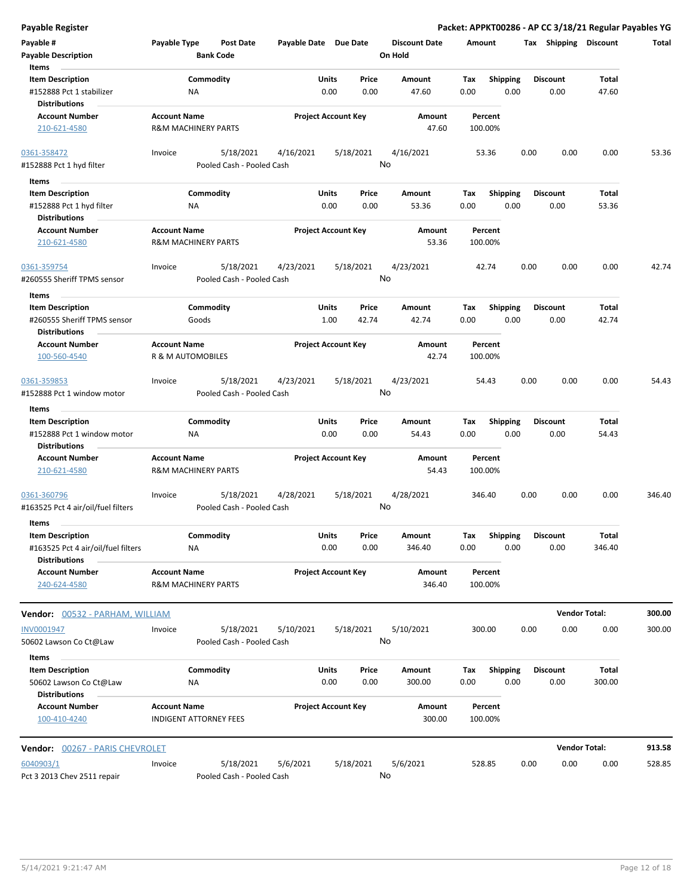**Payable Register Packet: APPKT00286 - AP CC 3/18/21 Regular Payables YG**

| Payable #<br><b>Payable Description</b>                       | Payable Type                             | Post Date<br><b>Bank Code</b>          | Payable Date Due Date      |               |                 | <b>Discount Date</b><br>On Hold | Amount             |                         |      | Tax Shipping            | <b>Discount</b> | Total  |
|---------------------------------------------------------------|------------------------------------------|----------------------------------------|----------------------------|---------------|-----------------|---------------------------------|--------------------|-------------------------|------|-------------------------|-----------------|--------|
| Items                                                         |                                          |                                        |                            |               |                 |                                 |                    |                         |      |                         |                 |        |
| <b>Item Description</b>                                       |                                          | Commodity                              |                            | Units         | Price           | Amount                          | Tax                | <b>Shipping</b>         |      | <b>Discount</b>         | Total           |        |
| #152888 Pct 1 stabilizer<br><b>Distributions</b>              | ΝA                                       |                                        |                            | 0.00          | 0.00            | 47.60                           | 0.00               | 0.00                    |      | 0.00                    | 47.60           |        |
| <b>Account Number</b><br>210-621-4580                         | <b>Account Name</b>                      | <b>R&amp;M MACHINERY PARTS</b>         | <b>Project Account Key</b> |               |                 | <b>Amount</b><br>47.60          | Percent<br>100.00% |                         |      |                         |                 |        |
| 0361-358472                                                   | Invoice                                  | 5/18/2021                              | 4/16/2021                  |               | 5/18/2021       | 4/16/2021                       | 53.36              |                         | 0.00 | 0.00                    | 0.00            | 53.36  |
| #152888 Pct 1 hyd filter                                      |                                          | Pooled Cash - Pooled Cash              |                            |               | No              |                                 |                    |                         |      |                         |                 |        |
| Items                                                         |                                          |                                        |                            |               |                 |                                 |                    |                         |      |                         |                 |        |
| <b>Item Description</b>                                       |                                          | Commodity                              |                            | Units         | Price           | Amount                          | Tax                | <b>Shipping</b>         |      | <b>Discount</b>         | Total           |        |
| #152888 Pct 1 hyd filter<br><b>Distributions</b>              | NA                                       |                                        |                            | 0.00          | 0.00            | 53.36                           | 0.00               | 0.00                    |      | 0.00                    | 53.36           |        |
| <b>Account Number</b>                                         | <b>Account Name</b>                      |                                        | <b>Project Account Key</b> |               |                 | Amount                          | Percent            |                         |      |                         |                 |        |
| 210-621-4580                                                  |                                          | <b>R&amp;M MACHINERY PARTS</b>         |                            |               |                 | 53.36                           | 100.00%            |                         |      |                         |                 |        |
| 0361-359754<br>#260555 Sheriff TPMS sensor                    | Invoice                                  | 5/18/2021<br>Pooled Cash - Pooled Cash | 4/23/2021                  |               | 5/18/2021<br>No | 4/23/2021                       | 42.74              |                         | 0.00 | 0.00                    | 0.00            | 42.74  |
| Items                                                         |                                          |                                        |                            |               |                 |                                 |                    |                         |      |                         |                 |        |
| <b>Item Description</b><br>#260555 Sheriff TPMS sensor        |                                          | Commodity<br>Goods                     |                            | Units<br>1.00 | Price<br>42.74  | Amount<br>42.74                 | Тах<br>0.00        | <b>Shipping</b><br>0.00 |      | <b>Discount</b><br>0.00 | Total<br>42.74  |        |
| <b>Distributions</b>                                          |                                          |                                        |                            |               |                 |                                 |                    |                         |      |                         |                 |        |
| <b>Account Number</b><br>100-560-4540                         | <b>Account Name</b><br>R & M AUTOMOBILES |                                        | <b>Project Account Key</b> |               |                 | Amount<br>42.74                 | Percent<br>100.00% |                         |      |                         |                 |        |
| 0361-359853                                                   | Invoice                                  | 5/18/2021                              | 4/23/2021                  |               | 5/18/2021       | 4/23/2021                       | 54.43              |                         | 0.00 | 0.00                    | 0.00            | 54.43  |
| #152888 Pct 1 window motor                                    |                                          | Pooled Cash - Pooled Cash              |                            |               | No              |                                 |                    |                         |      |                         |                 |        |
| Items                                                         |                                          |                                        |                            |               |                 |                                 |                    |                         |      |                         |                 |        |
| <b>Item Description</b><br>#152888 Pct 1 window motor         | ΝA                                       | Commodity                              |                            | Units<br>0.00 | Price<br>0.00   | Amount<br>54.43                 | Tax<br>0.00        | Shipping<br>0.00        |      | <b>Discount</b><br>0.00 | Total<br>54.43  |        |
| <b>Distributions</b>                                          |                                          |                                        |                            |               |                 |                                 |                    |                         |      |                         |                 |        |
| <b>Account Number</b><br>210-621-4580                         | <b>Account Name</b>                      | <b>R&amp;M MACHINERY PARTS</b>         | <b>Project Account Key</b> |               |                 | Amount<br>54.43                 | Percent<br>100.00% |                         |      |                         |                 |        |
| 0361-360796<br>#163525 Pct 4 air/oil/fuel filters             | Invoice                                  | 5/18/2021<br>Pooled Cash - Pooled Cash | 4/28/2021                  |               | 5/18/2021<br>No | 4/28/2021                       | 346.40             |                         | 0.00 | 0.00                    | 0.00            | 346.40 |
| Items                                                         |                                          |                                        |                            |               |                 |                                 |                    |                         |      |                         |                 |        |
| <b>Item Description</b><br>#163525 Pct 4 air/oil/fuel filters | ΝA                                       | Commodity                              |                            | Units<br>0.00 | Price<br>0.00   | Amount<br>346.40                | Tax<br>0.00        | <b>Shipping</b><br>0.00 |      | <b>Discount</b><br>0.00 | Total<br>346.40 |        |
| <b>Distributions</b><br><b>Account Number</b><br>240-624-4580 | <b>Account Name</b>                      | <b>R&amp;M MACHINERY PARTS</b>         | <b>Project Account Key</b> |               |                 | Amount<br>346.40                | Percent<br>100.00% |                         |      |                         |                 |        |
| Vendor: 00532 - PARHAM, WILLIAM                               |                                          |                                        |                            |               |                 |                                 |                    |                         |      | <b>Vendor Total:</b>    |                 | 300.00 |
| INV0001947<br>50602 Lawson Co Ct@Law                          | Invoice                                  | 5/18/2021<br>Pooled Cash - Pooled Cash | 5/10/2021                  |               | 5/18/2021<br>No | 5/10/2021                       | 300.00             |                         | 0.00 | 0.00                    | 0.00            | 300.00 |
| Items<br><b>Item Description</b>                              |                                          | Commodity                              |                            | Units         | Price           | Amount                          | Tax                | <b>Shipping</b>         |      | <b>Discount</b>         | Total           |        |
| 50602 Lawson Co Ct@Law<br><b>Distributions</b>                | ΝA                                       |                                        |                            | 0.00          | 0.00            | 300.00                          | 0.00               | 0.00                    |      | 0.00                    | 300.00          |        |
| <b>Account Number</b><br>100-410-4240                         | <b>Account Name</b>                      | <b>INDIGENT ATTORNEY FEES</b>          | <b>Project Account Key</b> |               |                 | Amount<br>300.00                | Percent<br>100.00% |                         |      |                         |                 |        |
| Vendor: 00267 - PARIS CHEVROLET                               |                                          |                                        |                            |               |                 |                                 |                    |                         |      | <b>Vendor Total:</b>    |                 | 913.58 |
| 6040903/1<br>Pct 3 2013 Chev 2511 repair                      | Invoice                                  | 5/18/2021<br>Pooled Cash - Pooled Cash | 5/6/2021                   |               | 5/18/2021<br>No | 5/6/2021                        | 528.85             |                         | 0.00 | 0.00                    | 0.00            | 528.85 |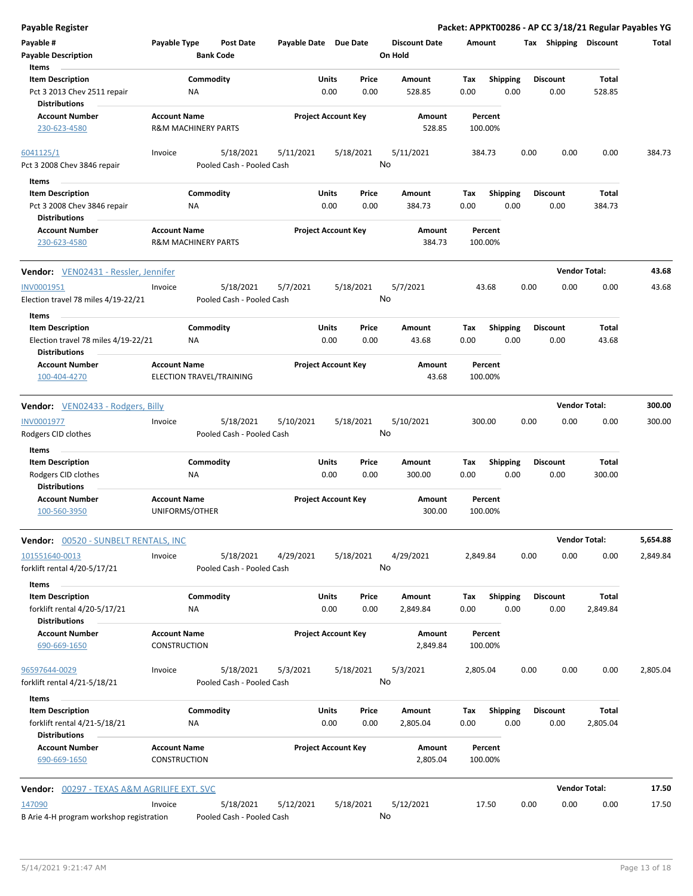| <b>Payable Register</b>                                                                         |                                                       |                                        |                       |                            |               |                                 |             |                         |      |                         | Packet: APPKT00286 - AP CC 3/18/21 Regular Payables YG |          |
|-------------------------------------------------------------------------------------------------|-------------------------------------------------------|----------------------------------------|-----------------------|----------------------------|---------------|---------------------------------|-------------|-------------------------|------|-------------------------|--------------------------------------------------------|----------|
| Payable #<br><b>Payable Description</b>                                                         | Payable Type<br><b>Bank Code</b>                      | <b>Post Date</b>                       | Payable Date Due Date |                            |               | <b>Discount Date</b><br>On Hold | Amount      |                         |      | Tax Shipping Discount   |                                                        | Total    |
| Items<br><b>Item Description</b><br>Pct 3 2013 Chev 2511 repair<br><b>Distributions</b>         | Commodity<br><b>NA</b>                                |                                        |                       | Units<br>0.00              | Price<br>0.00 | Amount<br>528.85                | Tax<br>0.00 | Shipping<br>0.00        |      | <b>Discount</b><br>0.00 | Total<br>528.85                                        |          |
| <b>Account Number</b><br>230-623-4580                                                           | <b>Account Name</b><br>R&M MACHINERY PARTS            |                                        |                       | <b>Project Account Key</b> |               | Amount<br>528.85                |             | Percent<br>100.00%      |      |                         |                                                        |          |
| 6041125/1<br>Pct 3 2008 Chev 3846 repair                                                        | Invoice                                               | 5/18/2021<br>Pooled Cash - Pooled Cash | 5/11/2021             | 5/18/2021                  |               | 5/11/2021<br>No                 | 384.73      |                         | 0.00 | 0.00                    | 0.00                                                   | 384.73   |
| Items<br><b>Item Description</b><br>Pct 3 2008 Chev 3846 repair<br><b>Distributions</b>         | Commodity<br>ΝA                                       |                                        |                       | Units<br>0.00              | Price<br>0.00 | Amount<br>384.73                | Tax<br>0.00 | <b>Shipping</b><br>0.00 |      | <b>Discount</b><br>0.00 | Total<br>384.73                                        |          |
| <b>Account Number</b><br>230-623-4580                                                           | <b>Account Name</b><br><b>R&amp;M MACHINERY PARTS</b> |                                        |                       | <b>Project Account Key</b> |               | Amount<br>384.73                |             | Percent<br>100.00%      |      |                         |                                                        |          |
| <b>Vendor:</b> VEN02431 - Ressler, Jennifer                                                     |                                                       |                                        |                       |                            |               |                                 |             |                         |      | <b>Vendor Total:</b>    |                                                        | 43.68    |
| INV0001951<br>Election travel 78 miles 4/19-22/21                                               | Invoice                                               | 5/18/2021<br>Pooled Cash - Pooled Cash | 5/7/2021              | 5/18/2021                  |               | 5/7/2021<br>No                  |             | 43.68                   | 0.00 | 0.00                    | 0.00                                                   | 43.68    |
| Items<br><b>Item Description</b><br>Election travel 78 miles 4/19-22/21<br><b>Distributions</b> | Commodity<br>ΝA                                       |                                        |                       | Units<br>0.00              | Price<br>0.00 | Amount<br>43.68                 | Tax<br>0.00 | Shipping<br>0.00        |      | <b>Discount</b><br>0.00 | Total<br>43.68                                         |          |
| <b>Account Number</b><br>100-404-4270                                                           | <b>Account Name</b><br>ELECTION TRAVEL/TRAINING       |                                        |                       | <b>Project Account Key</b> |               | Amount<br>43.68                 |             | Percent<br>100.00%      |      |                         |                                                        |          |
| Vendor: VEN02433 - Rodgers, Billy                                                               |                                                       |                                        |                       |                            |               |                                 |             |                         |      | <b>Vendor Total:</b>    |                                                        | 300.00   |
| INV0001977<br>Rodgers CID clothes                                                               | Invoice                                               | 5/18/2021<br>Pooled Cash - Pooled Cash | 5/10/2021             | 5/18/2021                  |               | 5/10/2021<br>No                 | 300.00      |                         | 0.00 | 0.00                    | 0.00                                                   | 300.00   |
| Items<br><b>Item Description</b><br>Rodgers CID clothes<br><b>Distributions</b>                 | Commodity<br>NA                                       |                                        |                       | Units<br>0.00              | Price<br>0.00 | Amount<br>300.00                | Tax<br>0.00 | <b>Shipping</b><br>0.00 |      | <b>Discount</b><br>0.00 | Total<br>300.00                                        |          |
| <b>Account Number</b><br>100-560-3950                                                           | <b>Account Name</b><br>UNIFORMS/OTHER                 |                                        |                       | <b>Project Account Key</b> |               | Amount<br>300.00                |             | Percent<br>100.00%      |      |                         |                                                        |          |
| <b>Vendor: 00520 - SUNBELT RENTALS, INC</b>                                                     |                                                       |                                        |                       |                            |               |                                 |             |                         |      | <b>Vendor Total:</b>    |                                                        | 5,654.88 |
| 101551640-0013<br>forklift rental 4/20-5/17/21                                                  | Invoice                                               | 5/18/2021<br>Pooled Cash - Pooled Cash | 4/29/2021             | 5/18/2021                  | No            | 4/29/2021                       | 2,849.84    |                         | 0.00 | 0.00                    | 0.00                                                   | 2,849.84 |
| Items<br><b>Item Description</b><br>forklift rental 4/20-5/17/21<br><b>Distributions</b>        | Commodity<br>ΝA                                       |                                        |                       | Units<br>0.00              | Price<br>0.00 | Amount<br>2,849.84              | Тах<br>0.00 | <b>Shipping</b><br>0.00 |      | <b>Discount</b><br>0.00 | Total<br>2,849.84                                      |          |
| <b>Account Number</b><br>690-669-1650                                                           | <b>Account Name</b><br>CONSTRUCTION                   |                                        |                       | <b>Project Account Key</b> |               | Amount<br>2,849.84              |             | Percent<br>100.00%      |      |                         |                                                        |          |
| 96597644-0029<br>forklift rental 4/21-5/18/21<br>Items                                          | Invoice                                               | 5/18/2021<br>Pooled Cash - Pooled Cash | 5/3/2021              | 5/18/2021                  |               | 5/3/2021<br>No                  | 2,805.04    |                         | 0.00 | 0.00                    | 0.00                                                   | 2,805.04 |
| <b>Item Description</b><br>forklift rental 4/21-5/18/21<br><b>Distributions</b>                 | Commodity<br><b>NA</b>                                |                                        |                       | Units<br>0.00              | Price<br>0.00 | Amount<br>2,805.04              | Tax<br>0.00 | <b>Shipping</b><br>0.00 |      | <b>Discount</b><br>0.00 | Total<br>2,805.04                                      |          |
| <b>Account Number</b><br>690-669-1650                                                           | <b>Account Name</b><br><b>CONSTRUCTION</b>            |                                        |                       | <b>Project Account Key</b> |               | Amount<br>2,805.04              |             | Percent<br>100.00%      |      |                         |                                                        |          |
| <b>Vendor: 00297 - TEXAS A&amp;M AGRILIFE EXT. SVC</b>                                          |                                                       |                                        |                       |                            |               |                                 |             |                         |      | <b>Vendor Total:</b>    |                                                        | 17.50    |
| 147090<br>B Arie 4-H program workshop registration                                              | Invoice                                               | 5/18/2021<br>Pooled Cash - Pooled Cash | 5/12/2021             | 5/18/2021                  |               | 5/12/2021<br>No                 |             | 17.50                   | 0.00 | 0.00                    | 0.00                                                   | 17.50    |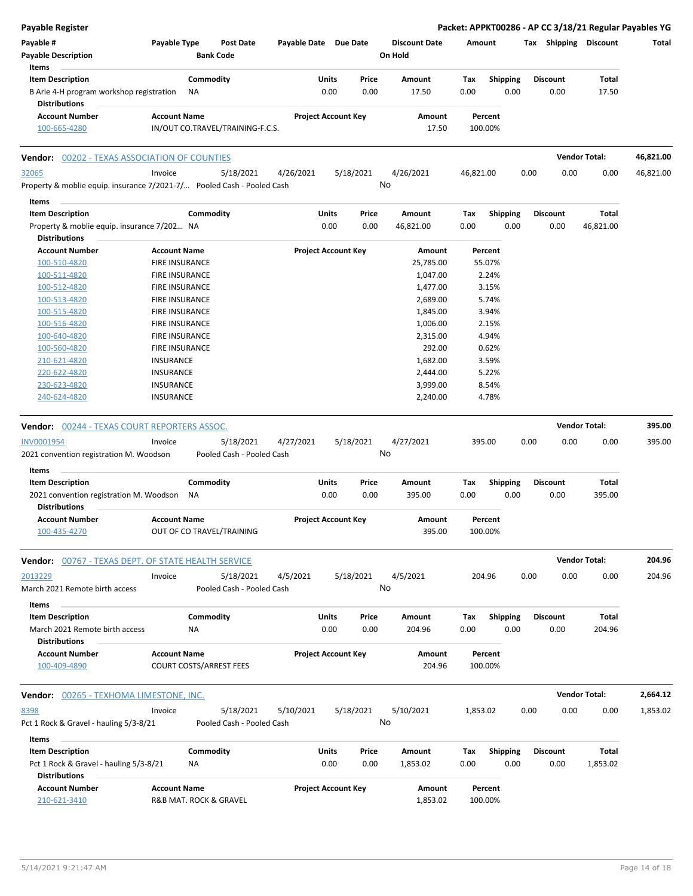| Payable Register                                                       |                       |                                  |                            |       |           |                      |           |                    |      |                 |                       | Packet: APPKT00286 - AP CC 3/18/21 Regular Payables YG |
|------------------------------------------------------------------------|-----------------------|----------------------------------|----------------------------|-------|-----------|----------------------|-----------|--------------------|------|-----------------|-----------------------|--------------------------------------------------------|
| Payable #                                                              | Payable Type          | <b>Post Date</b>                 | Payable Date Due Date      |       |           | <b>Discount Date</b> | Amount    |                    |      |                 | Tax Shipping Discount | Total                                                  |
| <b>Payable Description</b>                                             |                       | <b>Bank Code</b>                 |                            |       |           | On Hold              |           |                    |      |                 |                       |                                                        |
| Items                                                                  |                       |                                  |                            |       |           |                      |           |                    |      |                 |                       |                                                        |
| <b>Item Description</b>                                                |                       | Commodity                        |                            | Units | Price     | Amount               | Tax       | <b>Shipping</b>    |      | <b>Discount</b> | Total                 |                                                        |
| B Arie 4-H program workshop registration                               |                       | ΝA                               |                            | 0.00  | 0.00      | 17.50                | 0.00      | 0.00               |      | 0.00            | 17.50                 |                                                        |
| <b>Distributions</b>                                                   |                       |                                  |                            |       |           |                      |           |                    |      |                 |                       |                                                        |
| <b>Account Number</b><br>100-665-4280                                  | <b>Account Name</b>   | IN/OUT CO.TRAVEL/TRAINING-F.C.S. | <b>Project Account Key</b> |       |           | Amount<br>17.50      |           | Percent<br>100.00% |      |                 |                       |                                                        |
|                                                                        |                       |                                  |                            |       |           |                      |           |                    |      |                 |                       |                                                        |
| <b>Vendor: 00202 - TEXAS ASSOCIATION OF COUNTIES</b>                   |                       |                                  |                            |       |           |                      |           |                    |      |                 | <b>Vendor Total:</b>  | 46,821.00                                              |
| 32065                                                                  | Invoice               | 5/18/2021                        | 4/26/2021                  |       | 5/18/2021 | 4/26/2021            | 46,821.00 |                    | 0.00 | 0.00            | 0.00                  | 46,821.00                                              |
| Property & moblie equip. insurance 7/2021-7/ Pooled Cash - Pooled Cash |                       |                                  |                            |       |           | No                   |           |                    |      |                 |                       |                                                        |
| Items                                                                  |                       |                                  |                            |       |           |                      |           |                    |      |                 |                       |                                                        |
| <b>Item Description</b>                                                |                       | Commodity                        |                            | Units | Price     | Amount               | Tax       | <b>Shipping</b>    |      | <b>Discount</b> | Total                 |                                                        |
| Property & moblie equip. insurance 7/202 NA                            |                       |                                  |                            | 0.00  | 0.00      | 46,821.00            | 0.00      | 0.00               |      | 0.00            | 46,821.00             |                                                        |
| <b>Distributions</b>                                                   |                       |                                  |                            |       |           |                      |           |                    |      |                 |                       |                                                        |
| <b>Account Number</b>                                                  | <b>Account Name</b>   |                                  | <b>Project Account Key</b> |       |           | Amount               |           | Percent            |      |                 |                       |                                                        |
| 100-510-4820                                                           | <b>FIRE INSURANCE</b> |                                  |                            |       |           | 25,785.00            |           | 55.07%             |      |                 |                       |                                                        |
| 100-511-4820                                                           | <b>FIRE INSURANCE</b> |                                  |                            |       |           | 1,047.00             |           | 2.24%              |      |                 |                       |                                                        |
| 100-512-4820                                                           | <b>FIRE INSURANCE</b> |                                  |                            |       |           | 1,477.00             |           | 3.15%              |      |                 |                       |                                                        |
| 100-513-4820                                                           | <b>FIRE INSURANCE</b> |                                  |                            |       |           | 2,689.00             |           | 5.74%              |      |                 |                       |                                                        |
| 100-515-4820                                                           | <b>FIRE INSURANCE</b> |                                  |                            |       |           | 1,845.00             |           | 3.94%              |      |                 |                       |                                                        |
| 100-516-4820                                                           | <b>FIRE INSURANCE</b> |                                  |                            |       |           | 1,006.00             |           | 2.15%              |      |                 |                       |                                                        |
| 100-640-4820                                                           | <b>FIRE INSURANCE</b> |                                  |                            |       |           | 2,315.00             |           | 4.94%              |      |                 |                       |                                                        |
| 100-560-4820                                                           | <b>FIRE INSURANCE</b> |                                  |                            |       |           | 292.00               |           | 0.62%              |      |                 |                       |                                                        |
| 210-621-4820                                                           | <b>INSURANCE</b>      |                                  |                            |       |           | 1,682.00             |           | 3.59%              |      |                 |                       |                                                        |
| 220-622-4820                                                           | <b>INSURANCE</b>      |                                  |                            |       |           | 2,444.00             |           | 5.22%              |      |                 |                       |                                                        |
| 230-623-4820                                                           | <b>INSURANCE</b>      |                                  |                            |       |           | 3,999.00             |           | 8.54%              |      |                 |                       |                                                        |
| 240-624-4820                                                           | <b>INSURANCE</b>      |                                  |                            |       |           | 2,240.00             |           | 4.78%              |      |                 |                       |                                                        |
|                                                                        |                       |                                  |                            |       |           |                      |           |                    |      |                 |                       |                                                        |
| <b>Vendor: 00244 - TEXAS COURT REPORTERS ASSOC.</b>                    |                       |                                  |                            |       |           |                      |           |                    |      |                 | <b>Vendor Total:</b>  | 395.00                                                 |
| <b>INV0001954</b>                                                      | Invoice               | 5/18/2021                        | 4/27/2021                  |       | 5/18/2021 | 4/27/2021            |           | 395.00             | 0.00 | 0.00            | 0.00                  | 395.00                                                 |
| 2021 convention registration M. Woodson                                |                       | Pooled Cash - Pooled Cash        |                            |       |           | No                   |           |                    |      |                 |                       |                                                        |
| Items                                                                  |                       |                                  |                            |       |           |                      |           |                    |      |                 |                       |                                                        |
| <b>Item Description</b>                                                |                       | Commodity                        |                            | Units | Price     | Amount               | Tax       | <b>Shipping</b>    |      | <b>Discount</b> | Total                 |                                                        |
| 2021 convention registration M. Woodson                                |                       | <b>NA</b>                        |                            | 0.00  | 0.00      | 395.00               | 0.00      | 0.00               |      | 0.00            | 395.00                |                                                        |
| <b>Distributions</b>                                                   |                       |                                  |                            |       |           |                      |           |                    |      |                 |                       |                                                        |
| <b>Account Number</b>                                                  | <b>Account Name</b>   |                                  | <b>Project Account Key</b> |       |           | Amount               |           | Percent            |      |                 |                       |                                                        |
| 100-435-4270                                                           |                       | OUT OF CO TRAVEL/TRAINING        |                            |       |           | 395.00               |           | 100.00%            |      |                 |                       |                                                        |
|                                                                        |                       |                                  |                            |       |           |                      |           |                    |      |                 |                       |                                                        |
| <b>Vendor:</b> 00767 - TEXAS DEPT. OF STATE HEALTH SERVICE             |                       |                                  |                            |       |           |                      |           |                    |      |                 | <b>Vendor Total:</b>  | 204.96                                                 |
| 2013229                                                                | Invoice               | 5/18/2021                        | 4/5/2021                   |       | 5/18/2021 | 4/5/2021             |           | 204.96             | 0.00 | 0.00            | 0.00                  | 204.96                                                 |
| March 2021 Remote birth access                                         |                       | Pooled Cash - Pooled Cash        |                            |       |           | No                   |           |                    |      |                 |                       |                                                        |
| <b>Items</b>                                                           |                       |                                  |                            |       |           |                      |           |                    |      |                 |                       |                                                        |
| <b>Item Description</b>                                                |                       | Commodity                        |                            | Units | Price     | Amount               | Tax       | <b>Shipping</b>    |      | <b>Discount</b> | Total                 |                                                        |
| March 2021 Remote birth access                                         |                       | NA                               |                            | 0.00  | 0.00      | 204.96               | 0.00      | 0.00               |      | 0.00            | 204.96                |                                                        |
| <b>Distributions</b>                                                   |                       |                                  |                            |       |           |                      |           |                    |      |                 |                       |                                                        |
| <b>Account Number</b>                                                  | <b>Account Name</b>   |                                  | <b>Project Account Key</b> |       |           | Amount               |           | Percent            |      |                 |                       |                                                        |
| 100-409-4890                                                           |                       | <b>COURT COSTS/ARREST FEES</b>   |                            |       |           | 204.96               |           | 100.00%            |      |                 |                       |                                                        |
| <b>Vendor:</b> 00265 - TEXHOMA LIMESTONE, INC.                         |                       |                                  |                            |       |           |                      |           |                    |      |                 | <b>Vendor Total:</b>  | 2,664.12                                               |
|                                                                        |                       |                                  |                            |       |           |                      |           |                    |      |                 |                       |                                                        |
| 8398                                                                   | Invoice               | 5/18/2021                        | 5/10/2021                  |       | 5/18/2021 | 5/10/2021            | 1,853.02  |                    | 0.00 | 0.00            | 0.00                  | 1,853.02                                               |
| Pct 1 Rock & Gravel - hauling 5/3-8/21                                 |                       | Pooled Cash - Pooled Cash        |                            |       |           | No                   |           |                    |      |                 |                       |                                                        |
| Items                                                                  |                       |                                  |                            |       |           |                      |           |                    |      |                 |                       |                                                        |
| <b>Item Description</b>                                                |                       | Commodity                        |                            | Units | Price     | Amount               | Tax       | <b>Shipping</b>    |      | <b>Discount</b> | Total                 |                                                        |
| Pct 1 Rock & Gravel - hauling 5/3-8/21                                 |                       | ΝA                               |                            | 0.00  | 0.00      | 1,853.02             | 0.00      | 0.00               |      | 0.00            | 1,853.02              |                                                        |
| <b>Distributions</b>                                                   |                       |                                  |                            |       |           |                      |           |                    |      |                 |                       |                                                        |
| <b>Account Number</b>                                                  | <b>Account Name</b>   |                                  | <b>Project Account Key</b> |       |           | Amount               |           | Percent            |      |                 |                       |                                                        |
| 210-621-3410                                                           |                       | R&B MAT. ROCK & GRAVEL           |                            |       |           | 1,853.02             |           | 100.00%            |      |                 |                       |                                                        |
|                                                                        |                       |                                  |                            |       |           |                      |           |                    |      |                 |                       |                                                        |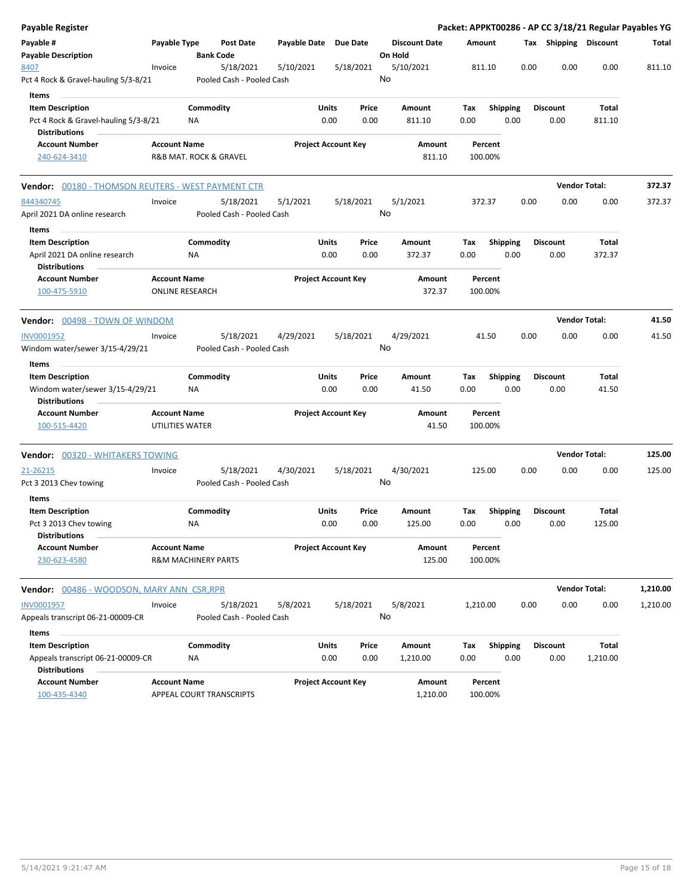| <b>Payable Register</b>                                   |                                       |                  |                           |                       |                            |           |                                 |          |                 |      |                       | Packet: APPKT00286 - AP CC 3/18/21 Regular Payables YG |          |
|-----------------------------------------------------------|---------------------------------------|------------------|---------------------------|-----------------------|----------------------------|-----------|---------------------------------|----------|-----------------|------|-----------------------|--------------------------------------------------------|----------|
| Payable #<br><b>Payable Description</b>                   | Payable Type                          | <b>Bank Code</b> | <b>Post Date</b>          | Payable Date Due Date |                            |           | <b>Discount Date</b><br>On Hold |          | Amount          |      | Tax Shipping Discount |                                                        | Total    |
| 8407                                                      | Invoice                               |                  | 5/18/2021                 | 5/10/2021             |                            | 5/18/2021 | 5/10/2021                       |          | 811.10          | 0.00 | 0.00                  | 0.00                                                   | 811.10   |
| Pct 4 Rock & Gravel-hauling 5/3-8/21                      |                                       |                  | Pooled Cash - Pooled Cash |                       |                            |           | No                              |          |                 |      |                       |                                                        |          |
| Items                                                     |                                       |                  |                           |                       |                            |           |                                 |          |                 |      |                       |                                                        |          |
| <b>Item Description</b>                                   |                                       | Commodity        |                           |                       | Units                      | Price     | Amount                          | Tax      | <b>Shipping</b> |      | <b>Discount</b>       | Total                                                  |          |
| Pct 4 Rock & Gravel-hauling 5/3-8/21                      |                                       | ΝA               |                           |                       | 0.00                       | 0.00      | 811.10                          | 0.00     | 0.00            |      | 0.00                  | 811.10                                                 |          |
| <b>Distributions</b><br><b>Account Number</b>             | <b>Account Name</b>                   |                  |                           |                       | <b>Project Account Key</b> |           | Amount                          |          | Percent         |      |                       |                                                        |          |
| 240-624-3410                                              | <b>R&amp;B MAT. ROCK &amp; GRAVEL</b> |                  |                           |                       |                            |           | 811.10                          |          | 100.00%         |      |                       |                                                        |          |
|                                                           |                                       |                  |                           |                       |                            |           |                                 |          |                 |      |                       |                                                        |          |
| <b>Vendor:</b> 00180 - THOMSON REUTERS - WEST PAYMENT CTR |                                       |                  |                           |                       |                            |           |                                 |          |                 |      |                       | <b>Vendor Total:</b>                                   | 372.37   |
| 844340745                                                 | Invoice                               |                  | 5/18/2021                 | 5/1/2021              |                            | 5/18/2021 | 5/1/2021                        |          | 372.37          | 0.00 | 0.00                  | 0.00                                                   | 372.37   |
| April 2021 DA online research                             |                                       |                  | Pooled Cash - Pooled Cash |                       |                            |           | No                              |          |                 |      |                       |                                                        |          |
| Items                                                     |                                       |                  |                           |                       |                            |           |                                 |          |                 |      |                       |                                                        |          |
| <b>Item Description</b>                                   |                                       | Commodity        |                           |                       | Units                      | Price     | Amount                          | Tax      | <b>Shipping</b> |      | <b>Discount</b>       | <b>Total</b>                                           |          |
| April 2021 DA online research<br><b>Distributions</b>     |                                       | ΝA               |                           |                       | 0.00                       | 0.00      | 372.37                          | 0.00     | 0.00            |      | 0.00                  | 372.37                                                 |          |
| <b>Account Number</b>                                     | <b>Account Name</b>                   |                  |                           |                       | <b>Project Account Key</b> |           | Amount                          |          | Percent         |      |                       |                                                        |          |
| 100-475-5910                                              | <b>ONLINE RESEARCH</b>                |                  |                           |                       |                            |           | 372.37                          |          | 100.00%         |      |                       |                                                        |          |
| Vendor: 00498 - TOWN OF WINDOM                            |                                       |                  |                           |                       |                            |           |                                 |          |                 |      |                       | <b>Vendor Total:</b>                                   | 41.50    |
| INV0001952                                                | Invoice                               |                  | 5/18/2021                 | 4/29/2021             |                            | 5/18/2021 | 4/29/2021                       |          | 41.50           | 0.00 | 0.00                  | 0.00                                                   | 41.50    |
| Windom water/sewer 3/15-4/29/21                           |                                       |                  | Pooled Cash - Pooled Cash |                       |                            |           | No                              |          |                 |      |                       |                                                        |          |
| Items                                                     |                                       |                  |                           |                       |                            |           |                                 |          |                 |      |                       |                                                        |          |
| <b>Item Description</b>                                   |                                       | Commodity        |                           |                       | Units                      | Price     | Amount                          | Tax      | <b>Shipping</b> |      | <b>Discount</b>       | Total                                                  |          |
| Windom water/sewer 3/15-4/29/21                           |                                       | ΝA               |                           |                       | 0.00                       | 0.00      | 41.50                           | 0.00     | 0.00            |      | 0.00                  | 41.50                                                  |          |
| <b>Distributions</b>                                      |                                       |                  |                           |                       |                            |           |                                 |          |                 |      |                       |                                                        |          |
| <b>Account Number</b>                                     | <b>Account Name</b>                   |                  |                           |                       | <b>Project Account Key</b> |           | Amount                          |          | Percent         |      |                       |                                                        |          |
| 100-515-4420                                              | UTILITIES WATER                       |                  |                           |                       |                            |           | 41.50                           |          | 100.00%         |      |                       |                                                        |          |
| <b>Vendor: 00320 - WHITAKERS TOWING</b>                   |                                       |                  |                           |                       |                            |           |                                 |          |                 |      |                       | <b>Vendor Total:</b>                                   | 125.00   |
| 21-26215                                                  | Invoice                               |                  | 5/18/2021                 | 4/30/2021             |                            | 5/18/2021 | 4/30/2021                       |          | 125.00          | 0.00 | 0.00                  | 0.00                                                   | 125.00   |
| Pct 3 2013 Chev towing                                    |                                       |                  | Pooled Cash - Pooled Cash |                       |                            |           | No                              |          |                 |      |                       |                                                        |          |
| Items                                                     |                                       |                  |                           |                       |                            |           |                                 |          |                 |      |                       |                                                        |          |
| <b>Item Description</b>                                   |                                       | Commodity        |                           |                       | Units                      | Price     | Amount                          | Tax      | <b>Shipping</b> |      | <b>Discount</b>       | Total                                                  |          |
| Pct 3 2013 Chev towing                                    |                                       | ΝA               |                           |                       | 0.00                       | 0.00      | 125.00                          | 0.00     | 0.00            |      | 0.00                  | 125.00                                                 |          |
| <b>Distributions</b>                                      |                                       |                  |                           |                       |                            |           |                                 |          |                 |      |                       |                                                        |          |
| <b>Account Number</b>                                     | <b>Account Name</b>                   |                  |                           |                       | <b>Project Account Key</b> |           | Amount                          |          | Percent         |      |                       |                                                        |          |
| 230-623-4580                                              | <b>R&amp;M MACHINERY PARTS</b>        |                  |                           |                       |                            |           | 125.00                          |          | 100.00%         |      |                       |                                                        |          |
| Vendor: 00486 - WOODSON, MARY ANN CSR, RPR                |                                       |                  |                           |                       |                            |           |                                 |          |                 |      |                       | <b>Vendor Total:</b>                                   | 1,210.00 |
| INV0001957                                                | Invoice                               |                  | 5/18/2021                 | 5/8/2021              |                            | 5/18/2021 | 5/8/2021                        | 1,210.00 |                 | 0.00 | 0.00                  | 0.00                                                   | 1,210.00 |
| Appeals transcript 06-21-00009-CR                         |                                       |                  | Pooled Cash - Pooled Cash |                       |                            |           | No                              |          |                 |      |                       |                                                        |          |
| Items                                                     |                                       |                  |                           |                       |                            |           |                                 |          |                 |      |                       |                                                        |          |
| <b>Item Description</b>                                   |                                       | Commodity        |                           |                       | Units                      | Price     | Amount                          | Tax      | Shipping        |      | <b>Discount</b>       | Total                                                  |          |
| Appeals transcript 06-21-00009-CR                         |                                       | NA               |                           |                       | 0.00                       | 0.00      | 1,210.00                        | 0.00     | 0.00            |      | 0.00                  | 1,210.00                                               |          |
| <b>Distributions</b>                                      |                                       |                  |                           |                       |                            |           |                                 |          |                 |      |                       |                                                        |          |
| <b>Account Number</b>                                     | <b>Account Name</b>                   |                  |                           |                       | <b>Project Account Key</b> |           | Amount                          |          | Percent         |      |                       |                                                        |          |
| 100-435-4340                                              |                                       |                  | APPEAL COURT TRANSCRIPTS  |                       |                            |           | 1,210.00                        |          | 100.00%         |      |                       |                                                        |          |
|                                                           |                                       |                  |                           |                       |                            |           |                                 |          |                 |      |                       |                                                        |          |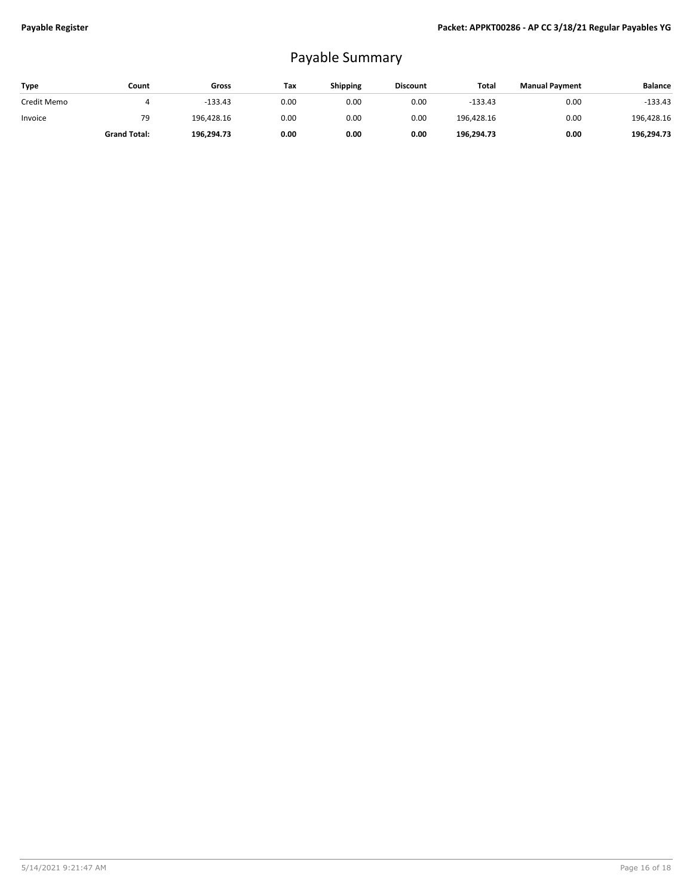## Payable Summary

| Type        | Count               | Gross      | Tax  | <b>Shipping</b> | <b>Discount</b> | Total      | <b>Manual Payment</b> | <b>Balance</b> |
|-------------|---------------------|------------|------|-----------------|-----------------|------------|-----------------------|----------------|
| Credit Memo |                     | $-133.43$  | 0.00 | 0.00            | 0.00            | $-133.43$  | 0.00                  | $-133.43$      |
| Invoice     | 79                  | 196.428.16 | 0.00 | 0.00            | 0.00            | 196.428.16 | 0.00                  | 196,428.16     |
|             | <b>Grand Total:</b> | 196,294.73 | 0.00 | 0.00            | 0.00            | 196,294.73 | 0.00                  | 196,294.73     |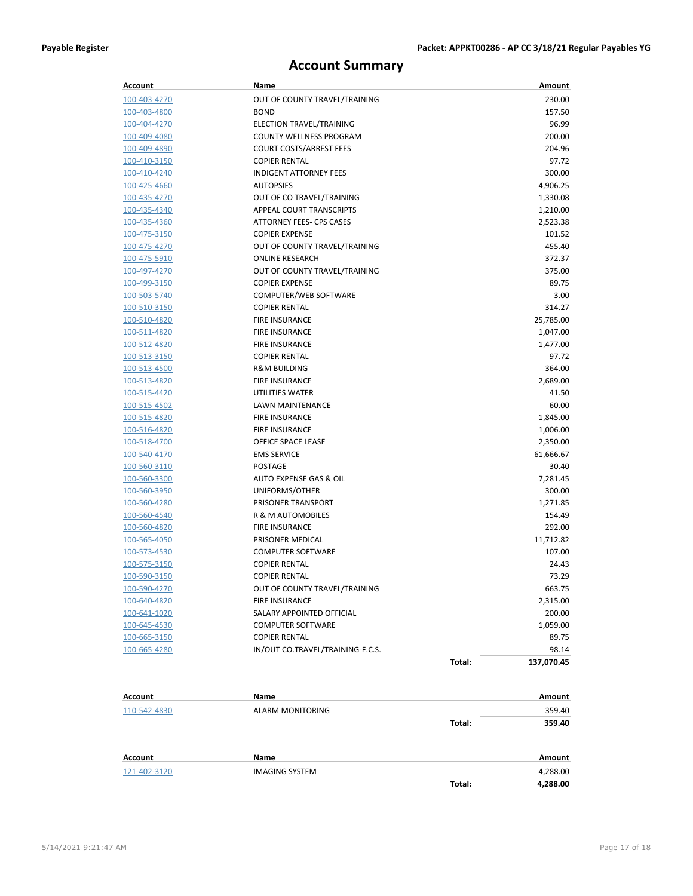## **Account Summary**

| Account      | Name                             |        | Amount     |
|--------------|----------------------------------|--------|------------|
| 100-403-4270 | OUT OF COUNTY TRAVEL/TRAINING    |        | 230.00     |
| 100-403-4800 | <b>BOND</b>                      |        | 157.50     |
| 100-404-4270 | ELECTION TRAVEL/TRAINING         |        | 96.99      |
| 100-409-4080 | COUNTY WELLNESS PROGRAM          |        | 200.00     |
| 100-409-4890 | <b>COURT COSTS/ARREST FEES</b>   |        | 204.96     |
| 100-410-3150 | <b>COPIER RENTAL</b>             |        | 97.72      |
| 100-410-4240 | <b>INDIGENT ATTORNEY FEES</b>    |        | 300.00     |
| 100-425-4660 | <b>AUTOPSIES</b>                 |        | 4,906.25   |
| 100-435-4270 | OUT OF CO TRAVEL/TRAINING        |        | 1,330.08   |
| 100-435-4340 | APPEAL COURT TRANSCRIPTS         |        | 1,210.00   |
| 100-435-4360 | ATTORNEY FEES- CPS CASES         |        | 2,523.38   |
| 100-475-3150 | <b>COPIER EXPENSE</b>            |        | 101.52     |
| 100-475-4270 | OUT OF COUNTY TRAVEL/TRAINING    |        | 455.40     |
| 100-475-5910 | <b>ONLINE RESEARCH</b>           |        | 372.37     |
| 100-497-4270 | OUT OF COUNTY TRAVEL/TRAINING    |        | 375.00     |
| 100-499-3150 | <b>COPIER EXPENSE</b>            |        | 89.75      |
| 100-503-5740 | COMPUTER/WEB SOFTWARE            |        | 3.00       |
| 100-510-3150 | <b>COPIER RENTAL</b>             |        | 314.27     |
| 100-510-4820 | <b>FIRE INSURANCE</b>            |        | 25,785.00  |
| 100-511-4820 | <b>FIRE INSURANCE</b>            |        | 1,047.00   |
| 100-512-4820 | <b>FIRE INSURANCE</b>            |        | 1,477.00   |
| 100-513-3150 | <b>COPIER RENTAL</b>             |        | 97.72      |
| 100-513-4500 | <b>R&amp;M BUILDING</b>          |        | 364.00     |
| 100-513-4820 | <b>FIRE INSURANCE</b>            |        | 2,689.00   |
| 100-515-4420 | UTILITIES WATER                  |        | 41.50      |
| 100-515-4502 | LAWN MAINTENANCE                 |        | 60.00      |
| 100-515-4820 | <b>FIRE INSURANCE</b>            |        | 1,845.00   |
| 100-516-4820 | <b>FIRE INSURANCE</b>            |        | 1,006.00   |
| 100-518-4700 | OFFICE SPACE LEASE               |        | 2,350.00   |
| 100-540-4170 | <b>EMS SERVICE</b>               |        | 61,666.67  |
| 100-560-3110 | POSTAGE                          |        | 30.40      |
| 100-560-3300 | AUTO EXPENSE GAS & OIL           |        | 7,281.45   |
| 100-560-3950 | UNIFORMS/OTHER                   |        | 300.00     |
| 100-560-4280 | PRISONER TRANSPORT               |        | 1,271.85   |
| 100-560-4540 | R & M AUTOMOBILES                |        | 154.49     |
| 100-560-4820 | <b>FIRE INSURANCE</b>            |        | 292.00     |
| 100-565-4050 | PRISONER MEDICAL                 |        | 11,712.82  |
| 100-573-4530 | <b>COMPUTER SOFTWARE</b>         |        | 107.00     |
| 100-575-3150 | <b>COPIER RENTAL</b>             |        | 24.43      |
| 100-590-3150 | <b>COPIER RENTAL</b>             |        | 73.29      |
| 100-590-4270 | OUT OF COUNTY TRAVEL/TRAINING    |        | 663.75     |
| 100-640-4820 | <b>FIRE INSURANCE</b>            |        | 2,315.00   |
| 100-641-1020 | SALARY APPOINTED OFFICIAL        |        | 200.00     |
| 100-645-4530 | <b>COMPUTER SOFTWARE</b>         |        | 1,059.00   |
| 100-665-3150 | <b>COPIER RENTAL</b>             |        | 89.75      |
| 100-665-4280 | IN/OUT CO.TRAVEL/TRAINING-F.C.S. |        | 98.14      |
|              |                                  | Total: | 137,070.45 |
| Account      | Name                             |        | Amount     |
| 110-542-4830 | ALARM MONITORING                 |        | 359.40     |
|              |                                  | Total: | 359.40     |
|              |                                  |        |            |

| Account      | Name           |        | Amount   |
|--------------|----------------|--------|----------|
| 121-402-3120 | IMAGING SYSTEM |        | 4,288.00 |
|              |                | Total: | 4,288.00 |